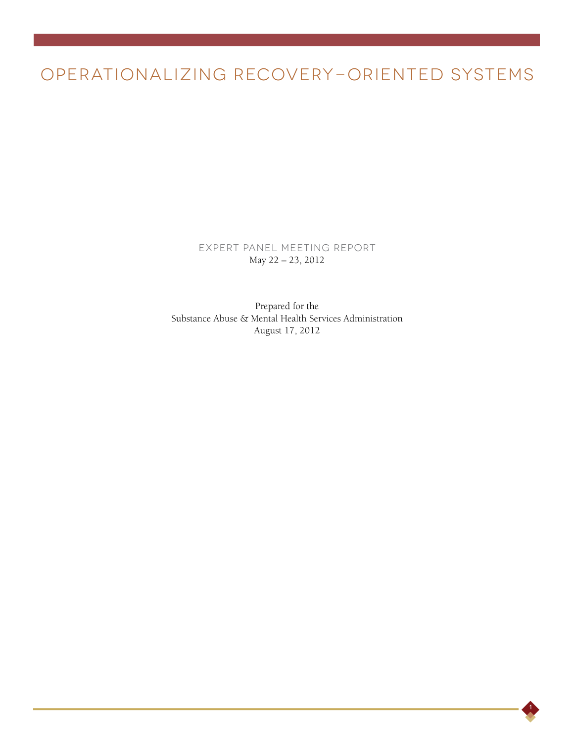# OPERATIONALIZING RECOVERY-ORIENTED SYSTEMS

Expert Panel Meeting Report May 22 – 23, 2012

Prepared for the Substance Abuse & Mental Health Services Administration August 17, 2012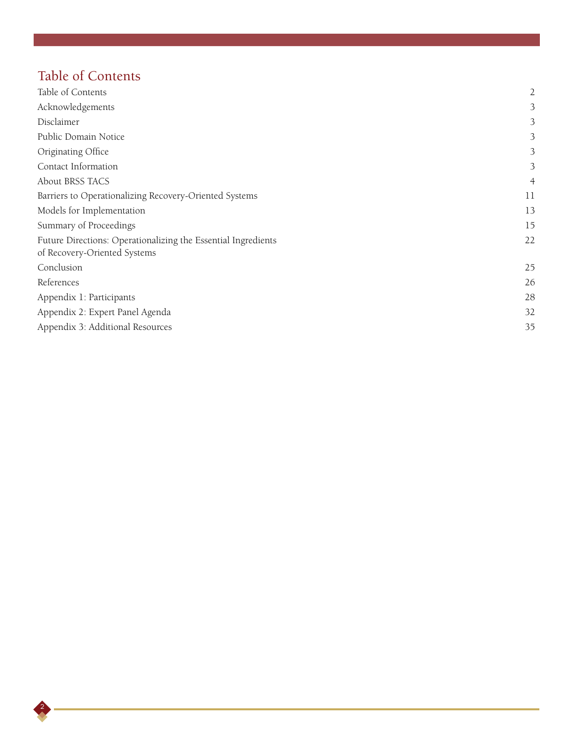# Table of Contents

| Table of Contents                                                                             | $\overline{2}$ |
|-----------------------------------------------------------------------------------------------|----------------|
| Acknowledgements                                                                              | 3              |
| Disclaimer                                                                                    | 3              |
| Public Domain Notice                                                                          | 3              |
| Originating Office                                                                            | 3              |
| Contact Information                                                                           | 3              |
| About BRSS TACS                                                                               | $\overline{4}$ |
| Barriers to Operationalizing Recovery-Oriented Systems                                        | 11             |
| Models for Implementation                                                                     | 13             |
| Summary of Proceedings                                                                        | 15             |
| Future Directions: Operationalizing the Essential Ingredients<br>of Recovery-Oriented Systems | 22             |
| Conclusion                                                                                    | 25             |
| References                                                                                    | 26             |
| Appendix 1: Participants                                                                      | 28             |
| Appendix 2: Expert Panel Agenda                                                               | 32             |
| Appendix 3: Additional Resources                                                              | 35             |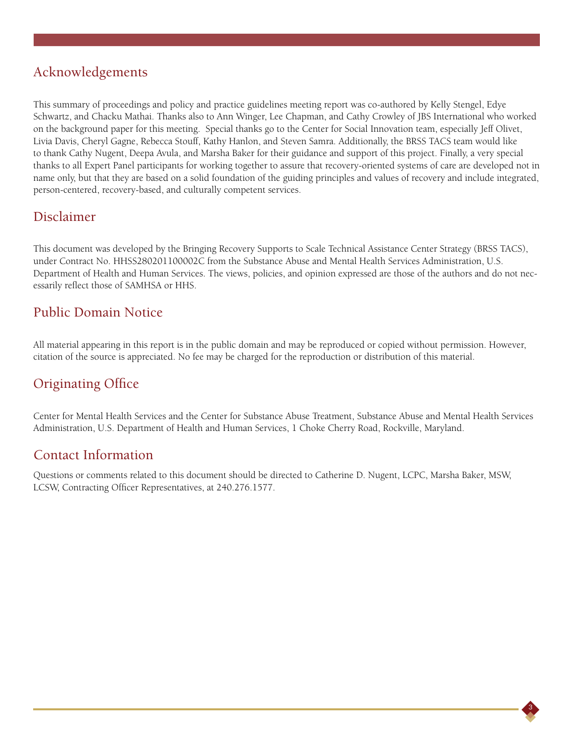## Acknowledgements

This summary of proceedings and policy and practice guidelines meeting report was co-authored by Kelly Stengel, Edye Schwartz, and Chacku Mathai. Thanks also to Ann Winger, Lee Chapman, and Cathy Crowley of JBS International who worked on the background paper for this meeting. Special thanks go to the Center for Social Innovation team, especially Jeff Olivet, Livia Davis, Cheryl Gagne, Rebecca Stouff, Kathy Hanlon, and Steven Samra. Additionally, the BRSS TACS team would like to thank Cathy Nugent, Deepa Avula, and Marsha Baker for their guidance and support of this project. Finally, a very special thanks to all Expert Panel participants for working together to assure that recovery-oriented systems of care are developed not in name only, but that they are based on a solid foundation of the guiding principles and values of recovery and include integrated, person-centered, recovery-based, and culturally competent services.

## Disclaimer

This document was developed by the Bringing Recovery Supports to Scale Technical Assistance Center Strategy (BRSS TACS), under Contract No. HHSS280201100002C from the Substance Abuse and Mental Health Services Administration, U.S. Department of Health and Human Services. The views, policies, and opinion expressed are those of the authors and do not necessarily reflect those of SAMHSA or HHS.

## Public Domain Notice

All material appearing in this report is in the public domain and may be reproduced or copied without permission. However, citation of the source is appreciated. No fee may be charged for the reproduction or distribution of this material.

## Originating Office

Center for Mental Health Services and the Center for Substance Abuse Treatment, Substance Abuse and Mental Health Services Administration, U.S. Department of Health and Human Services, 1 Choke Cherry Road, Rockville, Maryland.

## Contact Information

Questions or comments related to this document should be directed to Catherine D. Nugent, LCPC, Marsha Baker, MSW, LCSW, Contracting Officer Representatives, at 240.276.1577.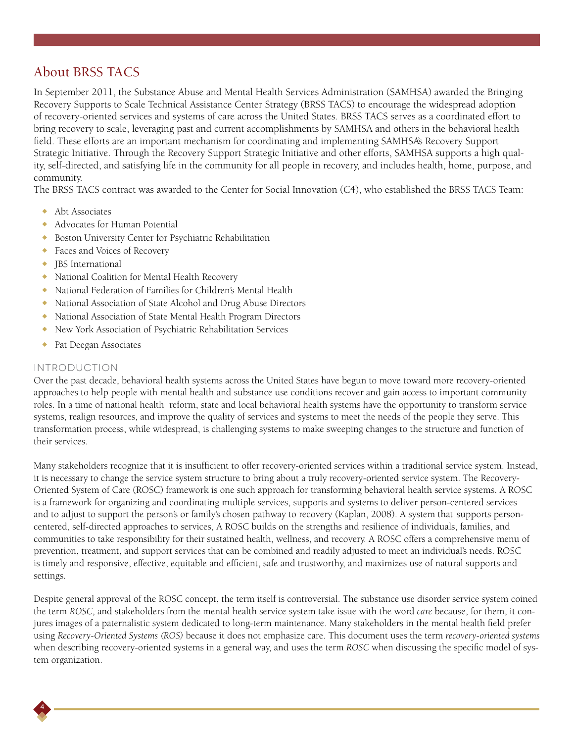## About BRSS TACS

In September 2011, the Substance Abuse and Mental Health Services Administration (SAMHSA) awarded the Bringing Recovery Supports to Scale Technical Assistance Center Strategy (BRSS TACS) to encourage the widespread adoption of recovery-oriented services and systems of care across the United States. BRSS TACS serves as a coordinated effort to bring recovery to scale, leveraging past and current accomplishments by SAMHSA and others in the behavioral health field. These efforts are an important mechanism for coordinating and implementing SAMHSA's Recovery Support Strategic Initiative. Through the Recovery Support Strategic Initiative and other efforts, SAMHSA supports a high quality, self-directed, and satisfying life in the community for all people in recovery, and includes health, home, purpose, and community.

The BRSS TACS contract was awarded to the Center for Social Innovation (C4), who established the BRSS TACS Team:

- $\leftrightarrow$  Abt Associates
- ◆ Advocates for Human Potential
- <sup>X</sup> Boston University Center for Psychiatric Rehabilitation
- ◆ Faces and Voices of Recovery
- $\bullet$  JBS International
- ◆ National Coalition for Mental Health Recovery
- <sup>X</sup> National Federation of Families for Children's Mental Health
- ◆ National Association of State Alcohol and Drug Abuse Directors
- <sup>X</sup> National Association of State Mental Health Program Directors
- <sup>X</sup> New York Association of Psychiatric Rehabilitation Services
- Pat Deegan Associates

### Introduction

4

Over the past decade, behavioral health systems across the United States have begun to move toward more recovery-oriented approaches to help people with mental health and substance use conditions recover and gain access to important community roles. In a time of national health reform, state and local behavioral health systems have the opportunity to transform service systems, realign resources, and improve the quality of services and systems to meet the needs of the people they serve. This transformation process, while widespread, is challenging systems to make sweeping changes to the structure and function of their services.

Many stakeholders recognize that it is insufficient to offer recovery-oriented services within a traditional service system. Instead, it is necessary to change the service system structure to bring about a truly recovery-oriented service system. The Recovery-Oriented System of Care (ROSC) framework is one such approach for transforming behavioral health service systems. A ROSC is a framework for organizing and coordinating multiple services, supports and systems to deliver person-centered services and to adjust to support the person's or family's chosen pathway to recovery (Kaplan, 2008). A system that supports personcentered, self-directed approaches to services, A ROSC builds on the strengths and resilience of individuals, families, and communities to take responsibility for their sustained health, wellness, and recovery. A ROSC offers a comprehensive menu of prevention, treatment, and support services that can be combined and readily adjusted to meet an individual's needs. ROSC is timely and responsive, effective, equitable and efficient, safe and trustworthy, and maximizes use of natural supports and settings.

Despite general approval of the ROSC concept, the term itself is controversial. The substance use disorder service system coined the term *ROSC*, and stakeholders from the mental health service system take issue with the word *care* because, for them, it conjures images of a paternalistic system dedicated to long-term maintenance. Many stakeholders in the mental health field prefer using *Recovery-Oriented Systems (ROS)* because it does not emphasize care. This document uses the term *recovery-oriented systems* when describing recovery-oriented systems in a general way, and uses the term *ROSC* when discussing the specific model of system organization.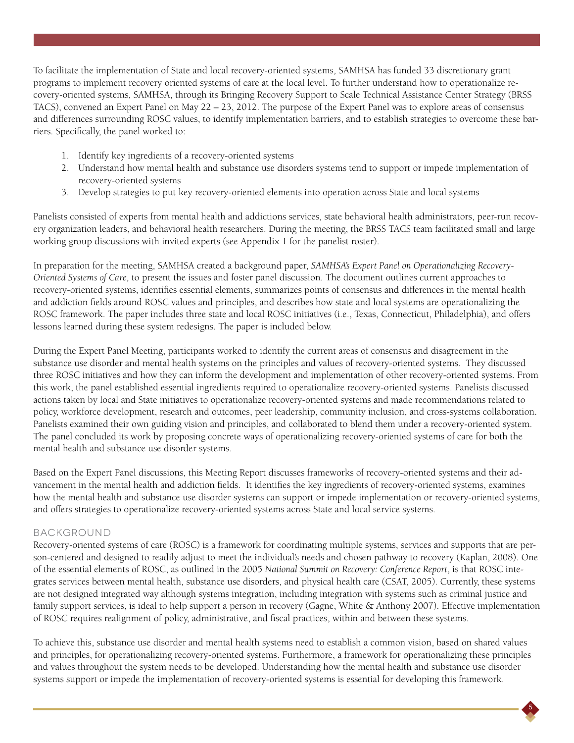To facilitate the implementation of State and local recovery-oriented systems, SAMHSA has funded 33 discretionary grant programs to implement recovery oriented systems of care at the local level. To further understand how to operationalize recovery-oriented systems, SAMHSA, through its Bringing Recovery Support to Scale Technical Assistance Center Strategy (BRSS TACS), convened an Expert Panel on May 22 – 23, 2012. The purpose of the Expert Panel was to explore areas of consensus and differences surrounding ROSC values, to identify implementation barriers, and to establish strategies to overcome these barriers. Specifically, the panel worked to:

- 1. Identify key ingredients of a recovery-oriented systems
- 2. Understand how mental health and substance use disorders systems tend to support or impede implementation of recovery-oriented systems
- 3. Develop strategies to put key recovery-oriented elements into operation across State and local systems

Panelists consisted of experts from mental health and addictions services, state behavioral health administrators, peer-run recovery organization leaders, and behavioral health researchers. During the meeting, the BRSS TACS team facilitated small and large working group discussions with invited experts (see Appendix 1 for the panelist roster).

In preparation for the meeting, SAMHSA created a background paper, *SAMHSA's Expert Panel on Operationalizing Recovery-Oriented Systems of Care*, to present the issues and foster panel discussion. The document outlines current approaches to recovery-oriented systems, identifies essential elements, summarizes points of consensus and differences in the mental health and addiction fields around ROSC values and principles, and describes how state and local systems are operationalizing the ROSC framework. The paper includes three state and local ROSC initiatives (i.e., Texas, Connecticut, Philadelphia), and offers lessons learned during these system redesigns. The paper is included below.

During the Expert Panel Meeting, participants worked to identify the current areas of consensus and disagreement in the substance use disorder and mental health systems on the principles and values of recovery-oriented systems. They discussed three ROSC initiatives and how they can inform the development and implementation of other recovery-oriented systems. From this work, the panel established essential ingredients required to operationalize recovery-oriented systems. Panelists discussed actions taken by local and State initiatives to operationalize recovery-oriented systems and made recommendations related to policy, workforce development, research and outcomes, peer leadership, community inclusion, and cross-systems collaboration. Panelists examined their own guiding vision and principles, and collaborated to blend them under a recovery-oriented system. The panel concluded its work by proposing concrete ways of operationalizing recovery-oriented systems of care for both the mental health and substance use disorder systems.

Based on the Expert Panel discussions, this Meeting Report discusses frameworks of recovery-oriented systems and their advancement in the mental health and addiction fields. It identifies the key ingredients of recovery-oriented systems, examines how the mental health and substance use disorder systems can support or impede implementation or recovery-oriented systems, and offers strategies to operationalize recovery-oriented systems across State and local service systems.

### Background

Recovery-oriented systems of care (ROSC) is a framework for coordinating multiple systems, services and supports that are person-centered and designed to readily adjust to meet the individual's needs and chosen pathway to recovery (Kaplan, 2008). One of the essential elements of ROSC, as outlined in the 2005 *National Summit on Recovery: Conference Report*, is that ROSC integrates services between mental health, substance use disorders, and physical health care (CSAT, 2005). Currently, these systems are not designed integrated way although systems integration, including integration with systems such as criminal justice and family support services, is ideal to help support a person in recovery (Gagne, White & Anthony 2007). Effective implementation of ROSC requires realignment of policy, administrative, and fiscal practices, within and between these systems.

To achieve this, substance use disorder and mental health systems need to establish a common vision, based on shared values and principles, for operationalizing recovery-oriented systems. Furthermore, a framework for operationalizing these principles and values throughout the system needs to be developed. Understanding how the mental health and substance use disorder systems support or impede the implementation of recovery-oriented systems is essential for developing this framework.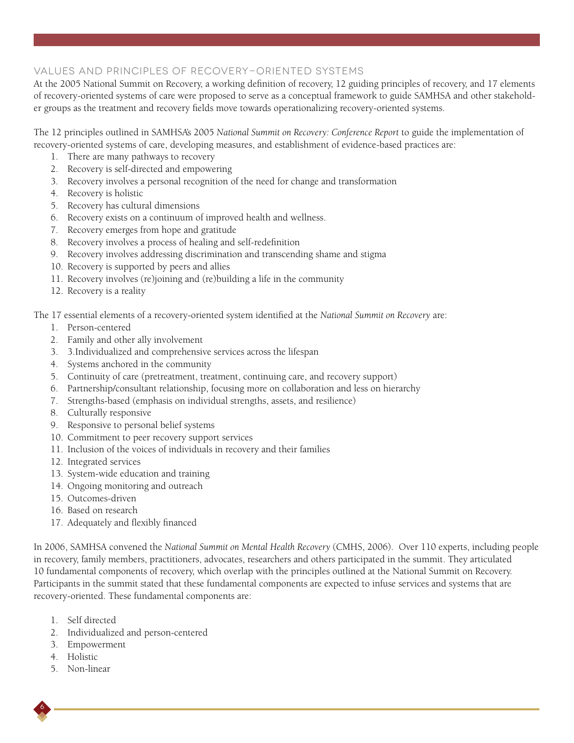## Values and Principles of Recovery-Oriented Systems

At the 2005 National Summit on Recovery, a working definition of recovery, 12 guiding principles of recovery, and 17 elements of recovery-oriented systems of care were proposed to serve as a conceptual framework to guide SAMHSA and other stakeholder groups as the treatment and recovery fields move towards operationalizing recovery-oriented systems.

The 12 principles outlined in SAMHSA's 2005 *National Summit on Recovery: Conference Report* to guide the implementation of recovery-oriented systems of care, developing measures, and establishment of evidence-based practices are:

- 1. There are many pathways to recovery
- 2. Recovery is self-directed and empowering
- 3. Recovery involves a personal recognition of the need for change and transformation
- 4. Recovery is holistic
- 5. Recovery has cultural dimensions
- 6. Recovery exists on a continuum of improved health and wellness.
- 7. Recovery emerges from hope and gratitude
- 8. Recovery involves a process of healing and self-redefinition
- 9. Recovery involves addressing discrimination and transcending shame and stigma
- 10. Recovery is supported by peers and allies
- 11. Recovery involves (re)joining and (re)building a life in the community
- 12. Recovery is a reality

The 17 essential elements of a recovery-oriented system identified at the *National Summit on Recovery* are:

- 1. Person-centered
- 2. Family and other ally involvement
- 3. 3.Individualized and comprehensive services across the lifespan
- 4. Systems anchored in the community
- 5. Continuity of care (pretreatment, treatment, continuing care, and recovery support)
- 6. Partnership/consultant relationship, focusing more on collaboration and less on hierarchy
- 7. Strengths-based (emphasis on individual strengths, assets, and resilience)
- 8. Culturally responsive
- 9. Responsive to personal belief systems
- 10. Commitment to peer recovery support services
- 11. Inclusion of the voices of individuals in recovery and their families
- 12. Integrated services
- 13. System-wide education and training
- 14. Ongoing monitoring and outreach
- 15. Outcomes-driven
- 16. Based on research
- 17. Adequately and flexibly financed

In 2006, SAMHSA convened the *National Summit on Mental Health Recovery* (CMHS, 2006). Over 110 experts, including people in recovery, family members, practitioners, advocates, researchers and others participated in the summit. They articulated 10 fundamental components of recovery, which overlap with the principles outlined at the National Summit on Recovery. Participants in the summit stated that these fundamental components are expected to infuse services and systems that are recovery-oriented. These fundamental components are:

- 1. Self directed
- 2. Individualized and person-centered
- 3. Empowerment
- 4. Holistic

6

5. Non-linear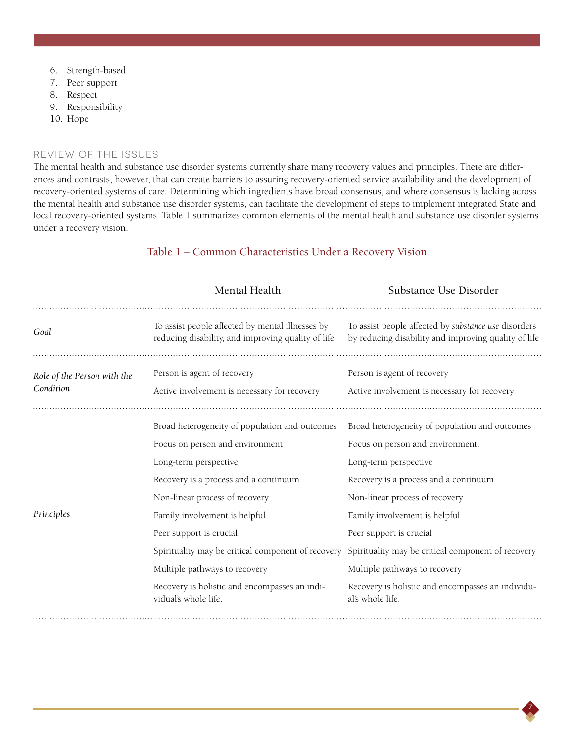- 6. Strength-based
- 7. Peer support
- 8. Respect
- 9. Responsibility
- 10. Hope

#### Review of the Issues

The mental health and substance use disorder systems currently share many recovery values and principles. There are differences and contrasts, however, that can create barriers to assuring recovery-oriented service availability and the development of recovery-oriented systems of care. Determining which ingredients have broad consensus, and where consensus is lacking across the mental health and substance use disorder systems, can facilitate the development of steps to implement integrated State and local recovery-oriented systems. Table 1 summarizes common elements of the mental health and substance use disorder systems under a recovery vision.

|                                          | Mental Health                                                                                                                                                                                                                                                                                                                            | Substance Use Disorder                                                                                                                                                                                                                                                                                                                    |
|------------------------------------------|------------------------------------------------------------------------------------------------------------------------------------------------------------------------------------------------------------------------------------------------------------------------------------------------------------------------------------------|-------------------------------------------------------------------------------------------------------------------------------------------------------------------------------------------------------------------------------------------------------------------------------------------------------------------------------------------|
| Goal                                     | To assist people affected by mental illnesses by<br>reducing disability, and improving quality of life                                                                                                                                                                                                                                   | To assist people affected by substance use disorders<br>by reducing disability and improving quality of life                                                                                                                                                                                                                              |
| Role of the Person with the<br>Condition | Person is agent of recovery<br>Active involvement is necessary for recovery                                                                                                                                                                                                                                                              | Person is agent of recovery<br>Active involvement is necessary for recovery                                                                                                                                                                                                                                                               |
| Principles                               | Broad heterogeneity of population and outcomes<br>Focus on person and environment<br>Long-term perspective<br>Recovery is a process and a continuum<br>Non-linear process of recovery<br>Family involvement is helpful<br>Peer support is crucial<br>Spirituality may be critical component of recovery<br>Multiple pathways to recovery | Broad heterogeneity of population and outcomes<br>Focus on person and environment.<br>Long-term perspective<br>Recovery is a process and a continuum<br>Non-linear process of recovery<br>Family involvement is helpful<br>Peer support is crucial<br>Spirituality may be critical component of recovery<br>Multiple pathways to recovery |
|                                          | Recovery is holistic and encompasses an indi-<br>vidual's whole life.                                                                                                                                                                                                                                                                    | Recovery is holistic and encompasses an individu-<br>al's whole life.                                                                                                                                                                                                                                                                     |

7

## Table 1 – Common Characteristics Under a Recovery Vision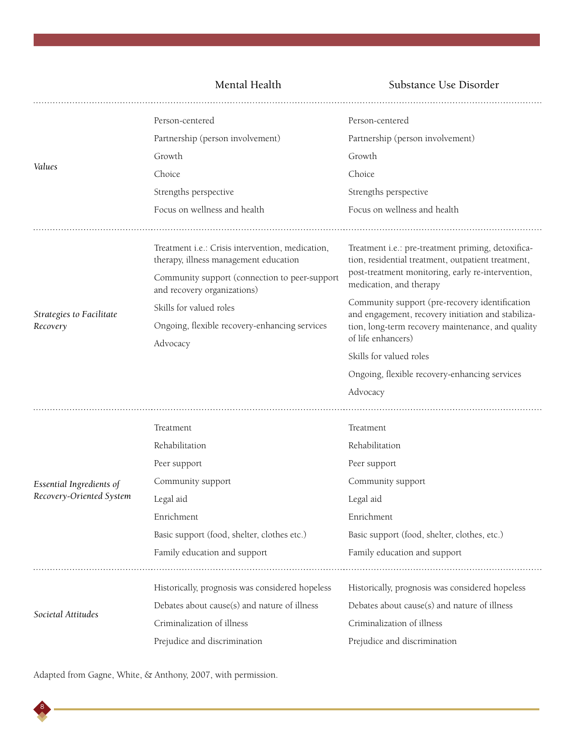Mental Health Substance Use Disorder

|                                      | Person-centered                                                                           | Person-centered                                                                                          |
|--------------------------------------|-------------------------------------------------------------------------------------------|----------------------------------------------------------------------------------------------------------|
| Values                               | Partnership (person involvement)                                                          | Partnership (person involvement)                                                                         |
|                                      | Growth                                                                                    | Growth                                                                                                   |
|                                      | Choice                                                                                    | Choice                                                                                                   |
|                                      | Strengths perspective                                                                     | Strengths perspective                                                                                    |
|                                      | Focus on wellness and health                                                              | Focus on wellness and health                                                                             |
|                                      |                                                                                           |                                                                                                          |
| Strategies to Facilitate<br>Recovery | Treatment i.e.: Crisis intervention, medication,<br>therapy, illness management education | Treatment i.e.: pre-treatment priming, detoxifica-<br>tion, residential treatment, outpatient treatment, |
|                                      | Community support (connection to peer-support<br>and recovery organizations)              | post-treatment monitoring, early re-intervention,<br>medication, and therapy                             |
|                                      | Skills for valued roles                                                                   | Community support (pre-recovery identification<br>and engagement, recovery initiation and stabiliza-     |
|                                      | Ongoing, flexible recovery-enhancing services                                             | tion, long-term recovery maintenance, and quality<br>of life enhancers)                                  |
|                                      | Advocacy                                                                                  | Skills for valued roles                                                                                  |
|                                      |                                                                                           | Ongoing, flexible recovery-enhancing services                                                            |
|                                      |                                                                                           | Advocacy                                                                                                 |
|                                      |                                                                                           |                                                                                                          |
|                                      | Treatment                                                                                 | Treatment                                                                                                |
|                                      | Rehabilitation                                                                            | Rehabilitation                                                                                           |
|                                      | Peer support                                                                              | Peer support                                                                                             |
| Essential Ingredients of             | Community support                                                                         | Community support                                                                                        |
| Recovery-Oriented System             | Legal aid                                                                                 | Legal aid                                                                                                |
|                                      | Enrichment                                                                                | Enrichment                                                                                               |
|                                      | Basic support (food, shelter, clothes etc.)                                               | Basic support (food, shelter, clothes, etc.)                                                             |
|                                      | Family education and support                                                              | Family education and support                                                                             |
|                                      |                                                                                           |                                                                                                          |
| Societal Attitudes                   | Historically, prognosis was considered hopeless                                           | Historically, prognosis was considered hopeless                                                          |
|                                      | Debates about cause(s) and nature of illness                                              | Debates about cause(s) and nature of illness                                                             |
|                                      | Criminalization of illness                                                                | Criminalization of illness                                                                               |
|                                      | Prejudice and discrimination                                                              | Prejudice and discrimination                                                                             |

Adapted from Gagne, White, & Anthony, 2007, with permission.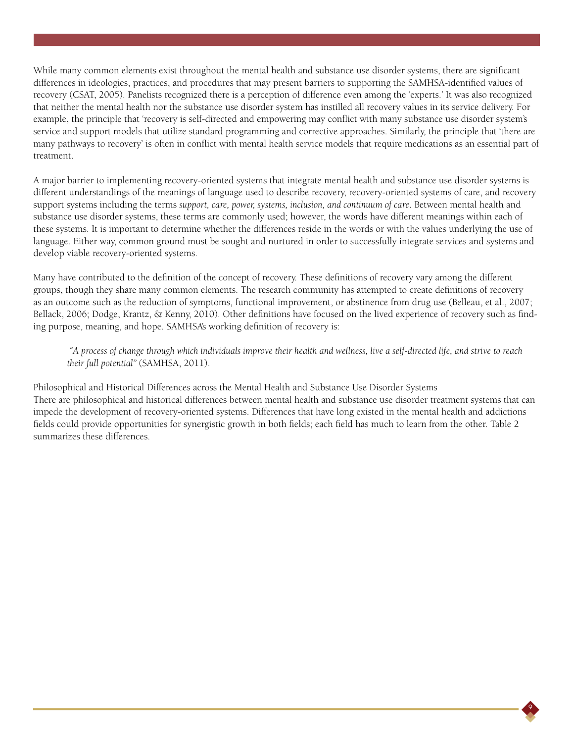While many common elements exist throughout the mental health and substance use disorder systems, there are significant differences in ideologies, practices, and procedures that may present barriers to supporting the SAMHSA-identified values of recovery (CSAT, 2005). Panelists recognized there is a perception of difference even among the 'experts.' It was also recognized that neither the mental health nor the substance use disorder system has instilled all recovery values in its service delivery. For example, the principle that 'recovery is self-directed and empowering may conflict with many substance use disorder system's service and support models that utilize standard programming and corrective approaches. Similarly, the principle that 'there are many pathways to recovery' is often in conflict with mental health service models that require medications as an essential part of treatment.

A major barrier to implementing recovery-oriented systems that integrate mental health and substance use disorder systems is different understandings of the meanings of language used to describe recovery, recovery-oriented systems of care, and recovery support systems including the terms *support, care, power, systems, inclusion, and continuum of care*. Between mental health and substance use disorder systems, these terms are commonly used; however, the words have different meanings within each of these systems. It is important to determine whether the differences reside in the words or with the values underlying the use of language. Either way, common ground must be sought and nurtured in order to successfully integrate services and systems and develop viable recovery-oriented systems.

Many have contributed to the definition of the concept of recovery. These definitions of recovery vary among the different groups, though they share many common elements. The research community has attempted to create definitions of recovery as an outcome such as the reduction of symptoms, functional improvement, or abstinence from drug use (Belleau, et al., 2007; Bellack, 2006; Dodge, Krantz, & Kenny, 2010). Other definitions have focused on the lived experience of recovery such as finding purpose, meaning, and hope. SAMHSA's working definition of recovery is:

 *"A process of change through which individuals improve their health and wellness, live a self-directed life, and strive to reach their full potential"* (SAMHSA, 2011).

Philosophical and Historical Differences across the Mental Health and Substance Use Disorder Systems There are philosophical and historical differences between mental health and substance use disorder treatment systems that can impede the development of recovery-oriented systems. Differences that have long existed in the mental health and addictions fields could provide opportunities for synergistic growth in both fields; each field has much to learn from the other. Table 2 summarizes these differences.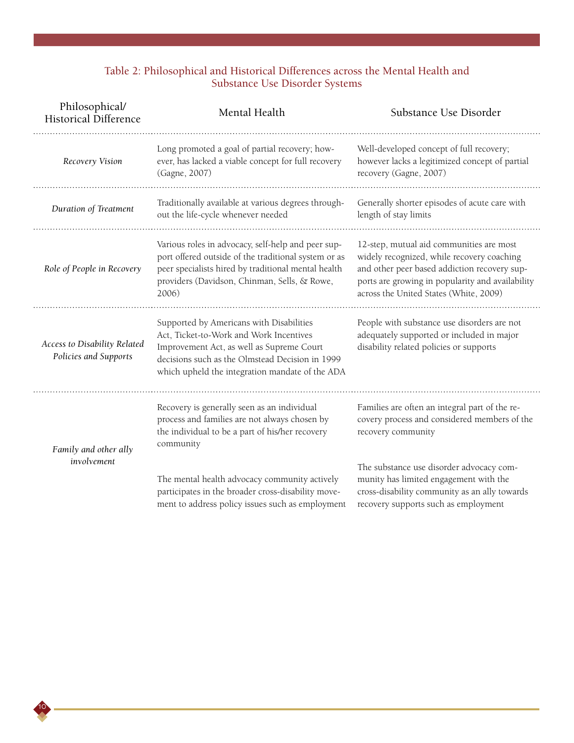### Table 2: Philosophical and Historical Differences across the Mental Health and Substance Use Disorder Systems

| Philosophical/<br><b>Historical Difference</b>        | Mental Health                                                                                                                                                                                                                          | Substance Use Disorder                                                                                                                                                                                                               |
|-------------------------------------------------------|----------------------------------------------------------------------------------------------------------------------------------------------------------------------------------------------------------------------------------------|--------------------------------------------------------------------------------------------------------------------------------------------------------------------------------------------------------------------------------------|
| Recovery Vision                                       | Long promoted a goal of partial recovery; how-<br>ever, has lacked a viable concept for full recovery<br>(Gagne, 2007)                                                                                                                 | Well-developed concept of full recovery;<br>however lacks a legitimized concept of partial<br>recovery (Gagne, 2007)                                                                                                                 |
| Duration of Treatment                                 | Traditionally available at various degrees through-<br>out the life-cycle whenever needed                                                                                                                                              | Generally shorter episodes of acute care with<br>length of stay limits                                                                                                                                                               |
| Role of People in Recovery                            | Various roles in advocacy, self-help and peer sup-<br>port offered outside of the traditional system or as<br>peer specialists hired by traditional mental health<br>providers (Davidson, Chinman, Sells, & Rowe,<br>2006)             | 12-step, mutual aid communities are most<br>widely recognized, while recovery coaching<br>and other peer based addiction recovery sup-<br>ports are growing in popularity and availability<br>across the United States (White, 2009) |
| Access to Disability Related<br>Policies and Supports | Supported by Americans with Disabilities<br>Act, Ticket-to-Work and Work Incentives<br>Improvement Act, as well as Supreme Court<br>decisions such as the Olmstead Decision in 1999<br>which upheld the integration mandate of the ADA | People with substance use disorders are not<br>adequately supported or included in major<br>disability related policies or supports                                                                                                  |
| Family and other ally<br>involvement                  | Recovery is generally seen as an individual<br>process and families are not always chosen by<br>the individual to be a part of his/her recovery<br>community                                                                           | Families are often an integral part of the re-<br>covery process and considered members of the<br>recovery community                                                                                                                 |
|                                                       | The mental health advocacy community actively<br>participates in the broader cross-disability move-<br>ment to address policy issues such as employment                                                                                | The substance use disorder advocacy com-<br>munity has limited engagement with the<br>cross-disability community as an ally towards<br>recovery supports such as employment                                                          |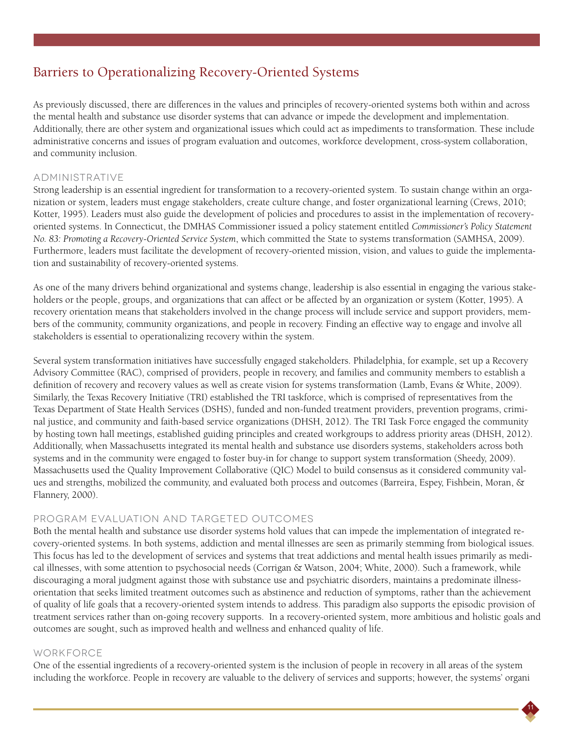## Barriers to Operationalizing Recovery-Oriented Systems

As previously discussed, there are differences in the values and principles of recovery-oriented systems both within and across the mental health and substance use disorder systems that can advance or impede the development and implementation. Additionally, there are other system and organizational issues which could act as impediments to transformation. These include administrative concerns and issues of program evaluation and outcomes, workforce development, cross-system collaboration, and community inclusion.

### Administrative

Strong leadership is an essential ingredient for transformation to a recovery-oriented system. To sustain change within an organization or system, leaders must engage stakeholders, create culture change, and foster organizational learning (Crews, 2010; Kotter, 1995). Leaders must also guide the development of policies and procedures to assist in the implementation of recoveryoriented systems. In Connecticut, the DMHAS Commissioner issued a policy statement entitled *Commissioner's Policy Statement No. 83: Promoting a Recovery-Oriented Service System*, which committed the State to systems transformation (SAMHSA, 2009). Furthermore, leaders must facilitate the development of recovery-oriented mission, vision, and values to guide the implementation and sustainability of recovery-oriented systems.

As one of the many drivers behind organizational and systems change, leadership is also essential in engaging the various stakeholders or the people, groups, and organizations that can affect or be affected by an organization or system (Kotter, 1995). A recovery orientation means that stakeholders involved in the change process will include service and support providers, members of the community, community organizations, and people in recovery. Finding an effective way to engage and involve all stakeholders is essential to operationalizing recovery within the system.

Several system transformation initiatives have successfully engaged stakeholders. Philadelphia, for example, set up a Recovery Advisory Committee (RAC), comprised of providers, people in recovery, and families and community members to establish a definition of recovery and recovery values as well as create vision for systems transformation (Lamb, Evans & White, 2009). Similarly, the Texas Recovery Initiative (TRI) established the TRI taskforce, which is comprised of representatives from the Texas Department of State Health Services (DSHS), funded and non-funded treatment providers, prevention programs, criminal justice, and community and faith-based service organizations (DHSH, 2012). The TRI Task Force engaged the community by hosting town hall meetings, established guiding principles and created workgroups to address priority areas (DHSH, 2012). Additionally, when Massachusetts integrated its mental health and substance use disorders systems, stakeholders across both systems and in the community were engaged to foster buy-in for change to support system transformation (Sheedy, 2009). Massachusetts used the Quality Improvement Collaborative (QIC) Model to build consensus as it considered community values and strengths, mobilized the community, and evaluated both process and outcomes (Barreira, Espey, Fishbein, Moran, & Flannery, 2000).

### Program evaluation and targeted outcomes

Both the mental health and substance use disorder systems hold values that can impede the implementation of integrated recovery-oriented systems. In both systems, addiction and mental illnesses are seen as primarily stemming from biological issues. This focus has led to the development of services and systems that treat addictions and mental health issues primarily as medical illnesses, with some attention to psychosocial needs (Corrigan & Watson, 2004; White, 2000). Such a framework, while discouraging a moral judgment against those with substance use and psychiatric disorders, maintains a predominate illnessorientation that seeks limited treatment outcomes such as abstinence and reduction of symptoms, rather than the achievement of quality of life goals that a recovery-oriented system intends to address. This paradigm also supports the episodic provision of treatment services rather than on-going recovery supports. In a recovery-oriented system, more ambitious and holistic goals and outcomes are sought, such as improved health and wellness and enhanced quality of life.

#### **WORKFORCF**

One of the essential ingredients of a recovery-oriented system is the inclusion of people in recovery in all areas of the system including the workforce. People in recovery are valuable to the delivery of services and supports; however, the systems' organi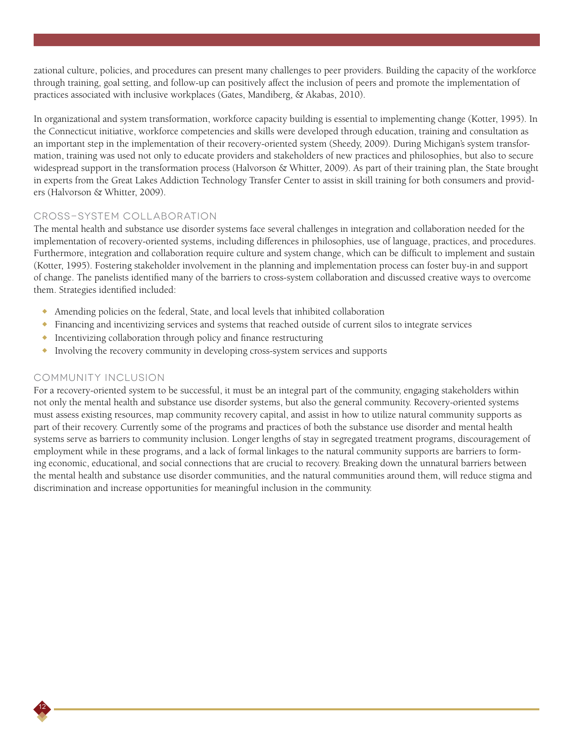zational culture, policies, and procedures can present many challenges to peer providers. Building the capacity of the workforce through training, goal setting, and follow-up can positively affect the inclusion of peers and promote the implementation of practices associated with inclusive workplaces (Gates, Mandiberg, & Akabas, 2010).

In organizational and system transformation, workforce capacity building is essential to implementing change (Kotter, 1995). In the Connecticut initiative, workforce competencies and skills were developed through education, training and consultation as an important step in the implementation of their recovery-oriented system (Sheedy, 2009). During Michigan's system transformation, training was used not only to educate providers and stakeholders of new practices and philosophies, but also to secure widespread support in the transformation process (Halvorson & Whitter, 2009). As part of their training plan, the State brought in experts from the Great Lakes Addiction Technology Transfer Center to assist in skill training for both consumers and providers (Halvorson & Whitter, 2009).

### Cross-system collaboration

The mental health and substance use disorder systems face several challenges in integration and collaboration needed for the implementation of recovery-oriented systems, including differences in philosophies, use of language, practices, and procedures. Furthermore, integration and collaboration require culture and system change, which can be difficult to implement and sustain (Kotter, 1995). Fostering stakeholder involvement in the planning and implementation process can foster buy-in and support of change. The panelists identified many of the barriers to cross-system collaboration and discussed creative ways to overcome them. Strategies identified included:

- <sup>X</sup> Amending policies on the federal, State, and local levels that inhibited collaboration
- Financing and incentivizing services and systems that reached outside of current silos to integrate services
- $\bullet$  Incentivizing collaboration through policy and finance restructuring
- <sup>X</sup> Involving the recovery community in developing cross-system services and supports

#### Community Inclusion

12

For a recovery-oriented system to be successful, it must be an integral part of the community, engaging stakeholders within not only the mental health and substance use disorder systems, but also the general community. Recovery-oriented systems must assess existing resources, map community recovery capital, and assist in how to utilize natural community supports as part of their recovery. Currently some of the programs and practices of both the substance use disorder and mental health systems serve as barriers to community inclusion. Longer lengths of stay in segregated treatment programs, discouragement of employment while in these programs, and a lack of formal linkages to the natural community supports are barriers to forming economic, educational, and social connections that are crucial to recovery. Breaking down the unnatural barriers between the mental health and substance use disorder communities, and the natural communities around them, will reduce stigma and discrimination and increase opportunities for meaningful inclusion in the community.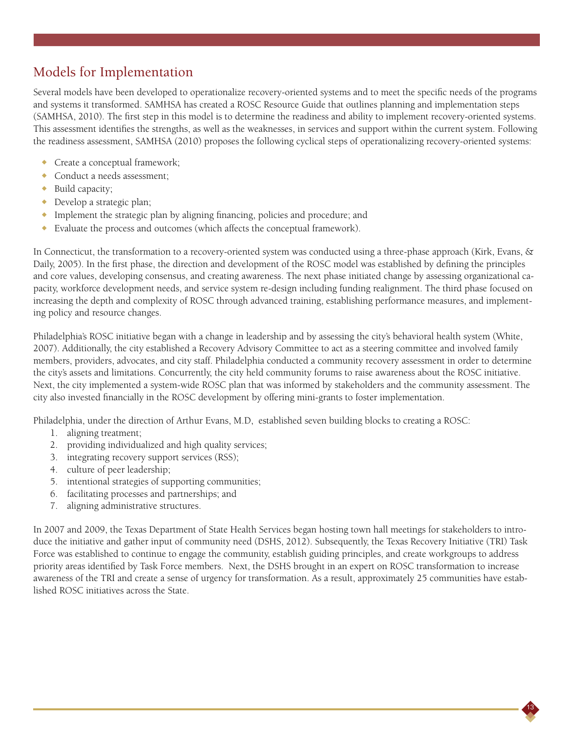## Models for Implementation

Several models have been developed to operationalize recovery-oriented systems and to meet the specific needs of the programs and systems it transformed. SAMHSA has created a ROSC Resource Guide that outlines planning and implementation steps (SAMHSA, 2010). The first step in this model is to determine the readiness and ability to implement recovery-oriented systems. This assessment identifies the strengths, as well as the weaknesses, in services and support within the current system. Following the readiness assessment, SAMHSA (2010) proposes the following cyclical steps of operationalizing recovery-oriented systems:

- Create a conceptual framework;
- Conduct a needs assessment;
- $\bullet$  Build capacity;
- $\rightarrow$  Develop a strategic plan;
- <sup>X</sup> Implement the strategic plan by aligning financing, policies and procedure; and
- $\bullet$  Evaluate the process and outcomes (which affects the conceptual framework).

In Connecticut, the transformation to a recovery-oriented system was conducted using a three-phase approach (Kirk, Evans, & Daily, 2005). In the first phase, the direction and development of the ROSC model was established by defining the principles and core values, developing consensus, and creating awareness. The next phase initiated change by assessing organizational capacity, workforce development needs, and service system re-design including funding realignment. The third phase focused on increasing the depth and complexity of ROSC through advanced training, establishing performance measures, and implementing policy and resource changes.

Philadelphia's ROSC initiative began with a change in leadership and by assessing the city's behavioral health system (White, 2007). Additionally, the city established a Recovery Advisory Committee to act as a steering committee and involved family members, providers, advocates, and city staff. Philadelphia conducted a community recovery assessment in order to determine the city's assets and limitations. Concurrently, the city held community forums to raise awareness about the ROSC initiative. Next, the city implemented a system-wide ROSC plan that was informed by stakeholders and the community assessment. The city also invested financially in the ROSC development by offering mini-grants to foster implementation.

Philadelphia, under the direction of Arthur Evans, M.D, established seven building blocks to creating a ROSC:

- 1. aligning treatment;
- 2. providing individualized and high quality services;
- 3. integrating recovery support services (RSS);
- 4. culture of peer leadership;
- 5. intentional strategies of supporting communities;
- 6. facilitating processes and partnerships; and
- 7. aligning administrative structures.

In 2007 and 2009, the Texas Department of State Health Services began hosting town hall meetings for stakeholders to introduce the initiative and gather input of community need (DSHS, 2012). Subsequently, the Texas Recovery Initiative (TRI) Task Force was established to continue to engage the community, establish guiding principles, and create workgroups to address priority areas identified by Task Force members. Next, the DSHS brought in an expert on ROSC transformation to increase awareness of the TRI and create a sense of urgency for transformation. As a result, approximately 25 communities have established ROSC initiatives across the State.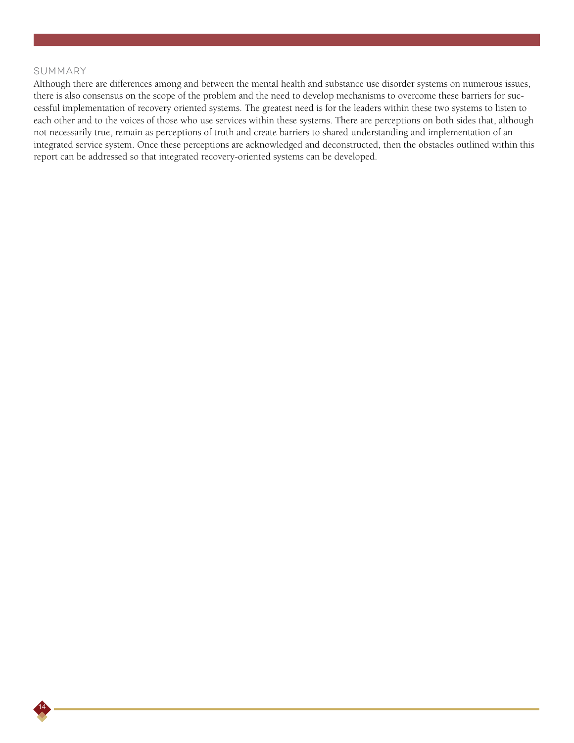#### Summary

14

Although there are differences among and between the mental health and substance use disorder systems on numerous issues, there is also consensus on the scope of the problem and the need to develop mechanisms to overcome these barriers for successful implementation of recovery oriented systems. The greatest need is for the leaders within these two systems to listen to each other and to the voices of those who use services within these systems. There are perceptions on both sides that, although not necessarily true, remain as perceptions of truth and create barriers to shared understanding and implementation of an integrated service system. Once these perceptions are acknowledged and deconstructed, then the obstacles outlined within this report can be addressed so that integrated recovery-oriented systems can be developed.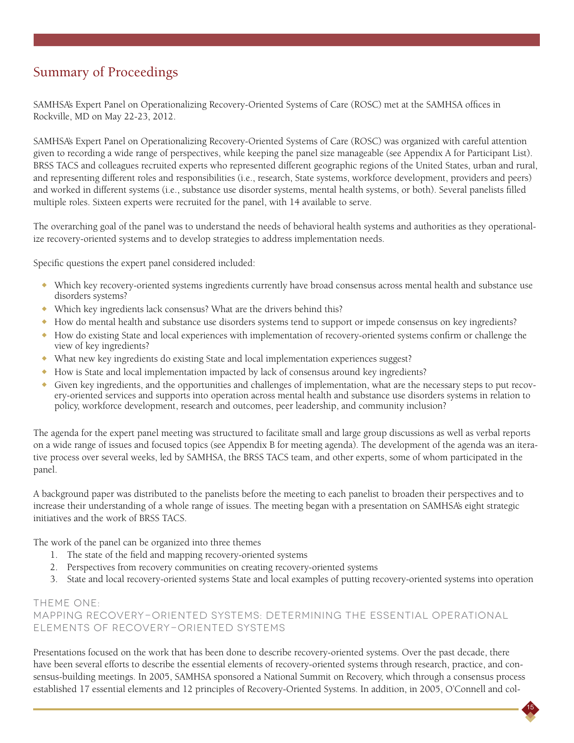## Summary of Proceedings

SAMHSA's Expert Panel on Operationalizing Recovery-Oriented Systems of Care (ROSC) met at the SAMHSA offices in Rockville, MD on May 22-23, 2012.

SAMHSA's Expert Panel on Operationalizing Recovery-Oriented Systems of Care (ROSC) was organized with careful attention given to recording a wide range of perspectives, while keeping the panel size manageable (see Appendix A for Participant List). BRSS TACS and colleagues recruited experts who represented different geographic regions of the United States, urban and rural, and representing different roles and responsibilities (i.e., research, State systems, workforce development, providers and peers) and worked in different systems (i.e., substance use disorder systems, mental health systems, or both). Several panelists filled multiple roles. Sixteen experts were recruited for the panel, with 14 available to serve.

The overarching goal of the panel was to understand the needs of behavioral health systems and authorities as they operationalize recovery-oriented systems and to develop strategies to address implementation needs.

Specific questions the expert panel considered included:

- <sup>X</sup> Which key recovery-oriented systems ingredients currently have broad consensus across mental health and substance use disorders systems?
- ◆ Which key ingredients lack consensus? What are the drivers behind this?
- <sup>X</sup> How do mental health and substance use disorders systems tend to support or impede consensus on key ingredients?
- <sup>X</sup> How do existing State and local experiences with implementation of recovery-oriented systems confirm or challenge the view of key ingredients?
- ◆ What new key ingredients do existing State and local implementation experiences suggest?
- <sup>X</sup> How is State and local implementation impacted by lack of consensus around key ingredients?
- Given key ingredients, and the opportunities and challenges of implementation, what are the necessary steps to put recovery-oriented services and supports into operation across mental health and substance use disorders systems in relation to policy, workforce development, research and outcomes, peer leadership, and community inclusion?

The agenda for the expert panel meeting was structured to facilitate small and large group discussions as well as verbal reports on a wide range of issues and focused topics (see Appendix B for meeting agenda). The development of the agenda was an iterative process over several weeks, led by SAMHSA, the BRSS TACS team, and other experts, some of whom participated in the panel.

A background paper was distributed to the panelists before the meeting to each panelist to broaden their perspectives and to increase their understanding of a whole range of issues. The meeting began with a presentation on SAMHSA's eight strategic initiatives and the work of BRSS TACS.

The work of the panel can be organized into three themes

- 1. The state of the field and mapping recovery-oriented systems
- 2. Perspectives from recovery communities on creating recovery-oriented systems
- 3. State and local recovery-oriented systems State and local examples of putting recovery-oriented systems into operation

## Theme One:

Mapping Recovery-Oriented Systems: Determining the Essential Operational Elements of Recovery-Oriented Systems

Presentations focused on the work that has been done to describe recovery-oriented systems. Over the past decade, there have been several efforts to describe the essential elements of recovery-oriented systems through research, practice, and consensus-building meetings. In 2005, SAMHSA sponsored a National Summit on Recovery, which through a consensus process established 17 essential elements and 12 principles of Recovery-Oriented Systems. In addition, in 2005, O'Connell and col-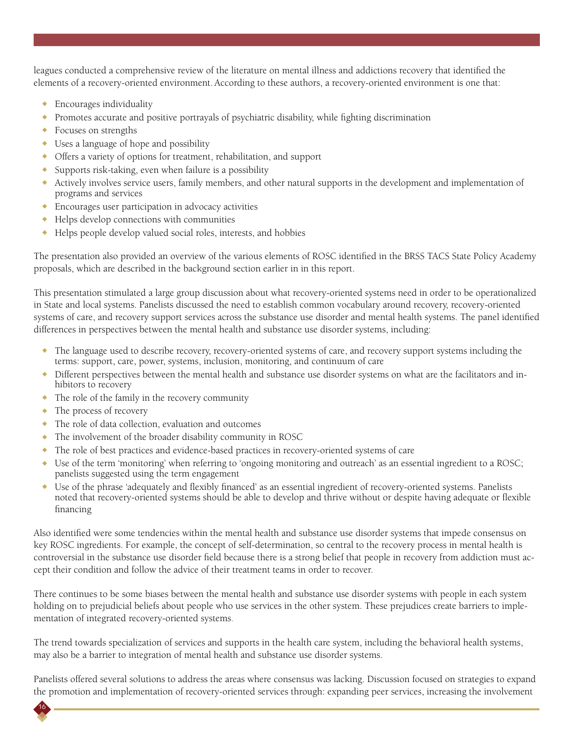leagues conducted a comprehensive review of the literature on mental illness and addictions recovery that identified the elements of a recovery-oriented environment.According to these authors, a recovery-oriented environment is one that:

- $\triangle$  Encourages individuality
- <sup>X</sup> Promotes accurate and positive portrayals of psychiatric disability, while fighting discrimination
- $\leftarrow$  Focuses on strengths
- $\bullet$  Uses a language of hope and possibility
- <sup>X</sup> Offers a variety of options for treatment, rehabilitation, and support
- $\bullet$  Supports risk-taking, even when failure is a possibility
- $\bullet$  Actively involves service users, family members, and other natural supports in the development and implementation of programs and services
- $\triangle$  Encourages user participation in advocacy activities
- $\triangle$  Helps develop connections with communities
- <sup>X</sup> Helps people develop valued social roles, interests, and hobbies

The presentation also provided an overview of the various elements of ROSC identified in the BRSS TACS State Policy Academy proposals, which are described in the background section earlier in in this report.

This presentation stimulated a large group discussion about what recovery-oriented systems need in order to be operationalized in State and local systems. Panelists discussed the need to establish common vocabulary around recovery, recovery-oriented systems of care, and recovery support services across the substance use disorder and mental health systems. The panel identified differences in perspectives between the mental health and substance use disorder systems, including:

- $\bullet$  The language used to describe recovery, recovery-oriented systems of care, and recovery support systems including the terms: support, care, power, systems, inclusion, monitoring, and continuum of care
- Different perspectives between the mental health and substance use disorder systems on what are the facilitators and inhibitors to recovery
- $\bullet$  The role of the family in the recovery community
- $\bullet$  The process of recovery

16

- $\bullet$  The role of data collection, evaluation and outcomes
- $\bullet$  The involvement of the broader disability community in ROSC
- <sup>X</sup> The role of best practices and evidence-based practices in recovery-oriented systems of care
- <sup>X</sup> Use of the term 'monitoring' when referring to 'ongoing monitoring and outreach' as an essential ingredient to a ROSC; panelists suggested using the term engagement
- <sup>X</sup> Use of the phrase 'adequately and flexibly financed' as an essential ingredient of recovery-oriented systems. Panelists noted that recovery-oriented systems should be able to develop and thrive without or despite having adequate or flexible financing

Also identified were some tendencies within the mental health and substance use disorder systems that impede consensus on key ROSC ingredients. For example, the concept of self-determination, so central to the recovery process in mental health is controversial in the substance use disorder field because there is a strong belief that people in recovery from addiction must accept their condition and follow the advice of their treatment teams in order to recover.

There continues to be some biases between the mental health and substance use disorder systems with people in each system holding on to prejudicial beliefs about people who use services in the other system. These prejudices create barriers to implementation of integrated recovery-oriented systems.

The trend towards specialization of services and supports in the health care system, including the behavioral health systems, may also be a barrier to integration of mental health and substance use disorder systems.

Panelists offered several solutions to address the areas where consensus was lacking. Discussion focused on strategies to expand the promotion and implementation of recovery-oriented services through: expanding peer services, increasing the involvement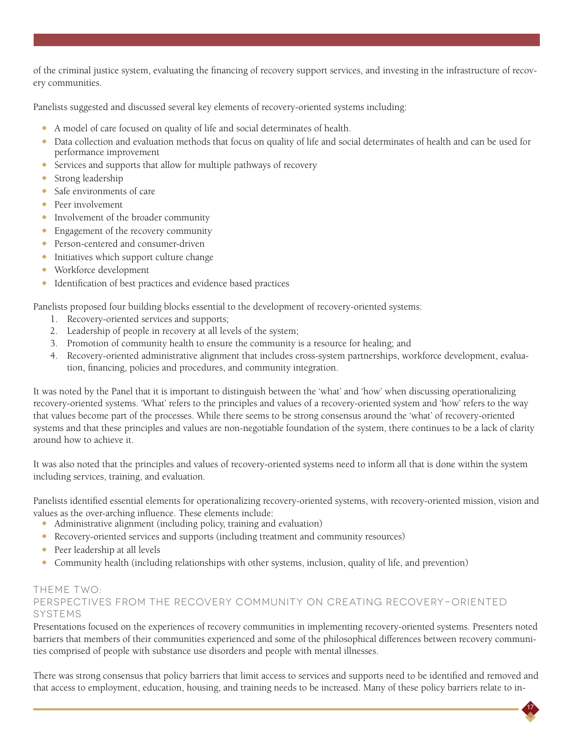of the criminal justice system, evaluating the financing of recovery support services, and investing in the infrastructure of recovery communities.

Panelists suggested and discussed several key elements of recovery-oriented systems including:

- <sup>X</sup> A model of care focused on quality of life and social determinates of health.
- <sup>X</sup> Data collection and evaluation methods that focus on quality of life and social determinates of health and can be used for performance improvement
- $\triangle$  Services and supports that allow for multiple pathways of recovery
- $\bullet$  Strong leadership
- $\bullet$  Safe environments of care
- $\leftarrow$  Peer involvement
- <sup>X</sup> Involvement of the broader community
- **Engagement of the recovery community**
- ◆ Person-centered and consumer-driven
- $\bullet$  Initiatives which support culture change
- $\bullet$  Workforce development
- $\bullet$  Identification of best practices and evidence based practices

Panelists proposed four building blocks essential to the development of recovery-oriented systems:

- 1. Recovery-oriented services and supports;
- 2. Leadership of people in recovery at all levels of the system;
- 3. Promotion of community health to ensure the community is a resource for healing; and
- 4. Recovery-oriented administrative alignment that includes cross-system partnerships, workforce development, evaluation, financing, policies and procedures, and community integration.

It was noted by the Panel that it is important to distinguish between the 'what' and 'how' when discussing operationalizing recovery-oriented systems. 'What' refers to the principles and values of a recovery-oriented system and 'how' refers to the way that values become part of the processes. While there seems to be strong consensus around the 'what' of recovery-oriented systems and that these principles and values are non-negotiable foundation of the system, there continues to be a lack of clarity around how to achieve it.

It was also noted that the principles and values of recovery-oriented systems need to inform all that is done within the system including services, training, and evaluation.

Panelists identified essential elements for operationalizing recovery-oriented systems, with recovery-oriented mission, vision and values as the over-arching influence. These elements include:

- $\triangleleft$  Administrative alignment (including policy, training and evaluation)
- <sup>X</sup> Recovery-oriented services and supports (including treatment and community resources)
- $\triangle$  Peer leadership at all levels
- $\bullet$  Community health (including relationships with other systems, inclusion, quality of life, and prevention)

#### Theme Two:

## Perspectives from the recovery community on creating recovery-oriented systems

Presentations focused on the experiences of recovery communities in implementing recovery-oriented systems. Presenters noted barriers that members of their communities experienced and some of the philosophical differences between recovery communities comprised of people with substance use disorders and people with mental illnesses.

There was strong consensus that policy barriers that limit access to services and supports need to be identified and removed and that access to employment, education, housing, and training needs to be increased. Many of these policy barriers relate to in-

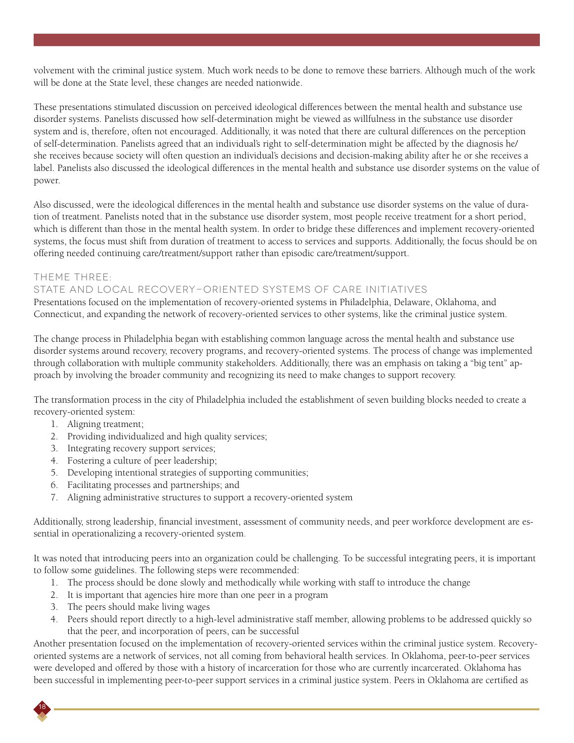volvement with the criminal justice system. Much work needs to be done to remove these barriers. Although much of the work will be done at the State level, these changes are needed nationwide.

These presentations stimulated discussion on perceived ideological differences between the mental health and substance use disorder systems. Panelists discussed how self-determination might be viewed as willfulness in the substance use disorder system and is, therefore, often not encouraged. Additionally, it was noted that there are cultural differences on the perception of self-determination. Panelists agreed that an individual's right to self-determination might be affected by the diagnosis he/ she receives because society will often question an individual's decisions and decision-making ability after he or she receives a label. Panelists also discussed the ideological differences in the mental health and substance use disorder systems on the value of power.

Also discussed, were the ideological differences in the mental health and substance use disorder systems on the value of duration of treatment. Panelists noted that in the substance use disorder system, most people receive treatment for a short period, which is different than those in the mental health system. In order to bridge these differences and implement recovery-oriented systems, the focus must shift from duration of treatment to access to services and supports. Additionally, the focus should be on offering needed continuing care/treatment/support rather than episodic care/treatment/support.

### Theme Three:

### State and Local Recovery-Oriented Systems of Care Initiatives

Presentations focused on the implementation of recovery-oriented systems in Philadelphia, Delaware, Oklahoma, and Connecticut, and expanding the network of recovery-oriented services to other systems, like the criminal justice system.

The change process in Philadelphia began with establishing common language across the mental health and substance use disorder systems around recovery, recovery programs, and recovery-oriented systems. The process of change was implemented through collaboration with multiple community stakeholders. Additionally, there was an emphasis on taking a "big tent" approach by involving the broader community and recognizing its need to make changes to support recovery.

The transformation process in the city of Philadelphia included the establishment of seven building blocks needed to create a recovery-oriented system:

- 1. Aligning treatment;
- 2. Providing individualized and high quality services;
- 3. Integrating recovery support services;
- 4. Fostering a culture of peer leadership;
- 5. Developing intentional strategies of supporting communities;
- 6. Facilitating processes and partnerships; and
- 7. Aligning administrative structures to support a recovery-oriented system

Additionally, strong leadership, financial investment, assessment of community needs, and peer workforce development are essential in operationalizing a recovery-oriented system.

It was noted that introducing peers into an organization could be challenging. To be successful integrating peers, it is important to follow some guidelines. The following steps were recommended:

- 1. The process should be done slowly and methodically while working with staff to introduce the change
- 2. It is important that agencies hire more than one peer in a program
- 3. The peers should make living wages

18

4. Peers should report directly to a high-level administrative staff member, allowing problems to be addressed quickly so that the peer, and incorporation of peers, can be successful

Another presentation focused on the implementation of recovery-oriented services within the criminal justice system. Recoveryoriented systems are a network of services, not all coming from behavioral health services. In Oklahoma, peer-to-peer services were developed and offered by those with a history of incarceration for those who are currently incarcerated. Oklahoma has been successful in implementing peer-to-peer support services in a criminal justice system. Peers in Oklahoma are certified as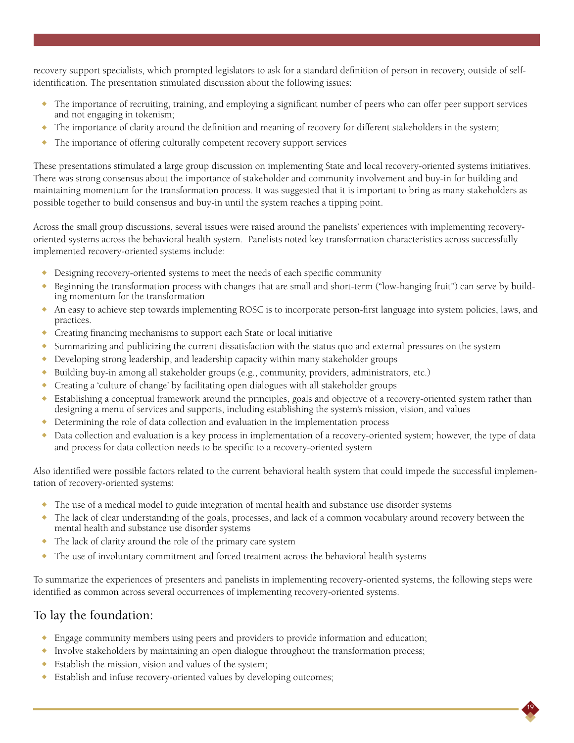recovery support specialists, which prompted legislators to ask for a standard definition of person in recovery, outside of selfidentification. The presentation stimulated discussion about the following issues:

- $\bullet$  The importance of recruiting, training, and employing a significant number of peers who can offer peer support services and not engaging in tokenism;
- The importance of clarity around the definition and meaning of recovery for different stakeholders in the system;
- The importance of offering culturally competent recovery support services

These presentations stimulated a large group discussion on implementing State and local recovery-oriented systems initiatives. There was strong consensus about the importance of stakeholder and community involvement and buy-in for building and maintaining momentum for the transformation process. It was suggested that it is important to bring as many stakeholders as possible together to build consensus and buy-in until the system reaches a tipping point.

Across the small group discussions, several issues were raised around the panelists' experiences with implementing recoveryoriented systems across the behavioral health system. Panelists noted key transformation characteristics across successfully implemented recovery-oriented systems include:

- <sup>X</sup> Designing recovery-oriented systems to meet the needs of each specific community
- Beginning the transformation process with changes that are small and short-term ("low-hanging fruit") can serve by building momentum for the transformation
- An easy to achieve step towards implementing ROSC is to incorporate person-first language into system policies, laws, and practices.
- Creating financing mechanisms to support each State or local initiative
- Summarizing and publicizing the current dissatisfaction with the status quo and external pressures on the system
- $\bullet$  Developing strong leadership, and leadership capacity within many stakeholder groups
- <sup>X</sup> Building buy-in among all stakeholder groups (e.g., community, providers, administrators, etc.)
- $\bullet$  Creating a 'culture of change' by facilitating open dialogues with all stakeholder groups
- Establishing a conceptual framework around the principles, goals and objective of a recovery-oriented system rather than designing a menu of services and supports, including establishing the system's mission, vision, and values
- <sup>X</sup> Determining the role of data collection and evaluation in the implementation process
- Data collection and evaluation is a key process in implementation of a recovery-oriented system; however, the type of data and process for data collection needs to be specific to a recovery-oriented system

Also identified were possible factors related to the current behavioral health system that could impede the successful implementation of recovery-oriented systems:

- $\bullet$  The use of a medical model to guide integration of mental health and substance use disorder systems
- The lack of clear understanding of the goals, processes, and lack of a common vocabulary around recovery between the mental health and substance use disorder systems
- The lack of clarity around the role of the primary care system
- $\bullet$  The use of involuntary commitment and forced treatment across the behavioral health systems

To summarize the experiences of presenters and panelists in implementing recovery-oriented systems, the following steps were identified as common across several occurrences of implementing recovery-oriented systems.

19

## To lay the foundation:

- $\bullet$  Engage community members using peers and providers to provide information and education;
- Involve stakeholders by maintaining an open dialogue throughout the transformation process;
- $\bullet$  Establish the mission, vision and values of the system;
- <sup>X</sup> Establish and infuse recovery-oriented values by developing outcomes;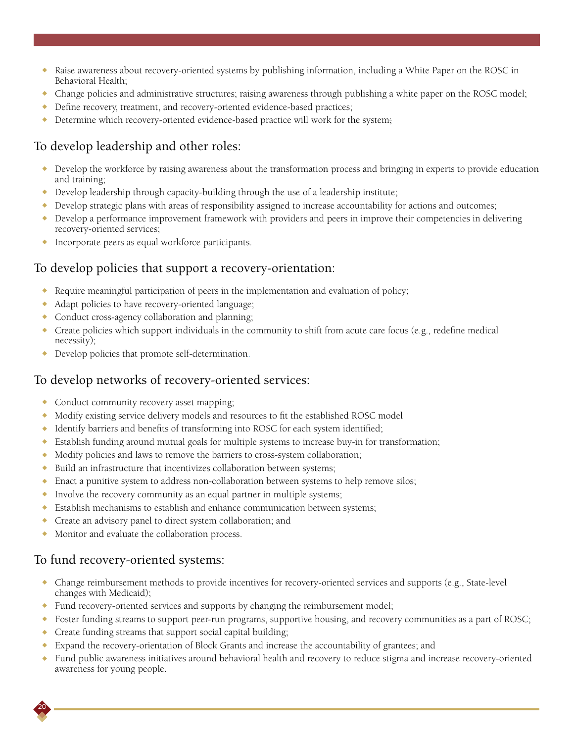- <sup>X</sup> Raise awareness about recovery-oriented systems by publishing information, including a White Paper on the ROSC in Behavioral Health;
- $\bullet$  Change policies and administrative structures; raising awareness through publishing a white paper on the ROSC model;
- $\bullet$  Define recovery, treatment, and recovery-oriented evidence-based practices;
- $\bullet$  Determine which recovery-oriented evidence-based practice will work for the system;

## To develop leadership and other roles:

- Develop the workforce by raising awareness about the transformation process and bringing in experts to provide education and training;
- $\bullet$  Develop leadership through capacity-building through the use of a leadership institute;
- $\bullet$  Develop strategic plans with areas of responsibility assigned to increase accountability for actions and outcomes;
- $\bullet$  Develop a performance improvement framework with providers and peers in improve their competencies in delivering recovery-oriented services;
- Incorporate peers as equal workforce participants.

## To develop policies that support a recovery-orientation:

- Require meaningful participation of peers in the implementation and evaluation of policy;
- Adapt policies to have recovery-oriented language;
- Conduct cross-agency collaboration and planning;
- $\bullet$  Create policies which support individuals in the community to shift from acute care focus (e.g., redefine medical necessity);
- Develop policies that promote self-determination.

## To develop networks of recovery-oriented services:

- Conduct community recovery asset mapping;
- $\bullet$  Modify existing service delivery models and resources to fit the established ROSC model
- $\bullet$  Identify barriers and benefits of transforming into ROSC for each system identified;
- $\bullet$  Establish funding around mutual goals for multiple systems to increase buy-in for transformation;
- Modify policies and laws to remove the barriers to cross-system collaboration;
- <sup>X</sup> Build an infrastructure that incentivizes collaboration between systems;
- $\bullet$  Enact a punitive system to address non-collaboration between systems to help remove silos;
- $\bullet$  Involve the recovery community as an equal partner in multiple systems;
- $\bullet$  Establish mechanisms to establish and enhance communication between systems;
- **Create an advisory panel to direct system collaboration; and**
- Monitor and evaluate the collaboration process.

## To fund recovery-oriented systems:

- $\bullet$  Change reimbursement methods to provide incentives for recovery-oriented services and supports (e.g., State-level changes with Medicaid);
- <sup>X</sup> Fund recovery-oriented services and supports by changing the reimbursement model;
- <sup>X</sup> Foster funding streams to support peer-run programs, supportive housing, and recovery communities as a part of ROSC;
- $\triangle$  Create funding streams that support social capital building;
- <sup>X</sup> Expand the recovery-orientation of Block Grants and increase the accountability of grantees; and
- <sup>X</sup> Fund public awareness initiatives around behavioral health and recovery to reduce stigma and increase recovery-oriented awareness for young people.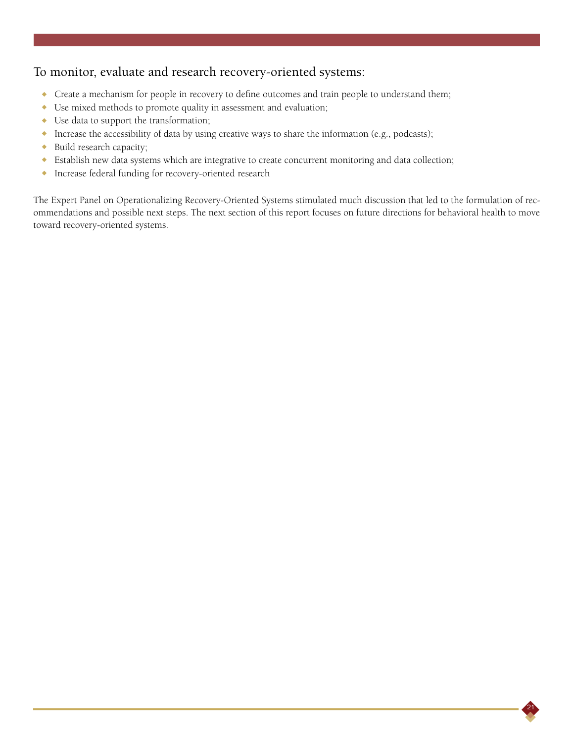## To monitor, evaluate and research recovery-oriented systems:

- Create a mechanism for people in recovery to define outcomes and train people to understand them;
- $\bullet$  Use mixed methods to promote quality in assessment and evaluation;
- $\bullet$  Use data to support the transformation;
- <sup>X</sup> Increase the accessibility of data by using creative ways to share the information (e.g., podcasts);
- $\bullet$  Build research capacity;
- <sup>X</sup> Establish new data systems which are integrative to create concurrent monitoring and data collection;
- <sup>X</sup> Increase federal funding for recovery-oriented research

The Expert Panel on Operationalizing Recovery-Oriented Systems stimulated much discussion that led to the formulation of recommendations and possible next steps. The next section of this report focuses on future directions for behavioral health to move toward recovery-oriented systems.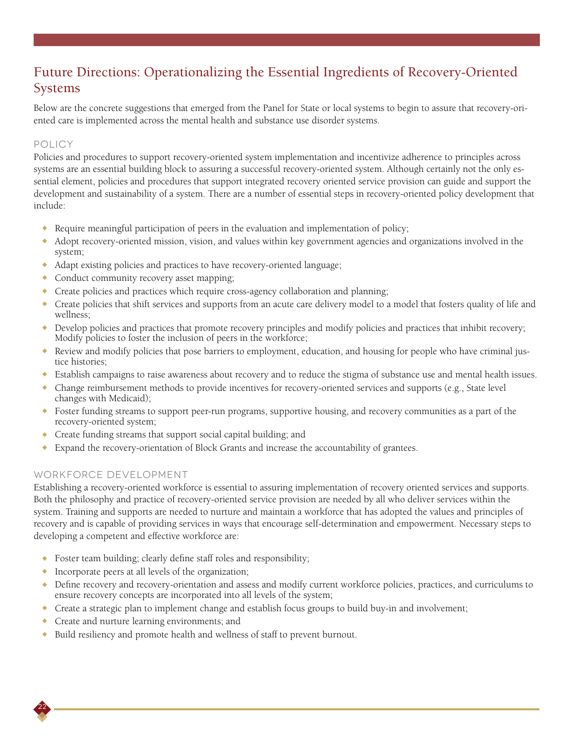## Future Directions: Operationalizing the Essential Ingredients of Recovery-Oriented Systems

Below are the concrete suggestions that emerged from the Panel for State or local systems to begin to assure that recovery-oriented care is implemented across the mental health and substance use disorder systems.

## Policy

Policies and procedures to support recovery-oriented system implementation and incentivize adherence to principles across systems are an essential building block to assuring a successful recovery-oriented system. Although certainly not the only essential element, policies and procedures that support integrated recovery oriented service provision can guide and support the development and sustainability of a system. There are a number of essential steps in recovery-oriented policy development that include:

- $\bullet$  Require meaningful participation of peers in the evaluation and implementation of policy;
- <sup>X</sup> Adopt recovery-oriented mission, vision, and values within key government agencies and organizations involved in the system;
- Adapt existing policies and practices to have recovery-oriented language;
- Conduct community recovery asset mapping;
- $\bullet$  Create policies and practices which require cross-agency collaboration and planning;
- Create policies that shift services and supports from an acute care delivery model to a model that fosters quality of life and wellness;
- $\bullet$  Develop policies and practices that promote recovery principles and modify policies and practices that inhibit recovery; Modify policies to foster the inclusion of peers in the workforce;
- Review and modify policies that pose barriers to employment, education, and housing for people who have criminal justice histories;
- <sup>X</sup> Establish campaigns to raise awareness about recovery and to reduce the stigma of substance use and mental health issues.
- $\bullet$  Change reimbursement methods to provide incentives for recovery-oriented services and supports (e.g., State level changes with Medicaid);
- <sup>X</sup> Foster funding streams to support peer-run programs, supportive housing, and recovery communities as a part of the recovery-oriented system;
- Create funding streams that support social capital building; and
- <sup>X</sup> Expand the recovery-orientation of Block Grants and increase the accountability of grantees.

## Workforce Development

22

Establishing a recovery-oriented workforce is essential to assuring implementation of recovery oriented services and supports. Both the philosophy and practice of recovery-oriented service provision are needed by all who deliver services within the system. Training and supports are needed to nurture and maintain a workforce that has adopted the values and principles of recovery and is capable of providing services in ways that encourage self-determination and empowerment. Necessary steps to developing a competent and effective workforce are:

- $\bullet$  Foster team building; clearly define staff roles and responsibility;
- $\bullet$  Incorporate peers at all levels of the organization;
- Define recovery and recovery-orientation and assess and modify current workforce policies, practices, and curriculums to ensure recovery concepts are incorporated into all levels of the system;
- Create a strategic plan to implement change and establish focus groups to build buy-in and involvement;
- Create and nurture learning environments; and
- Build resiliency and promote health and wellness of staff to prevent burnout.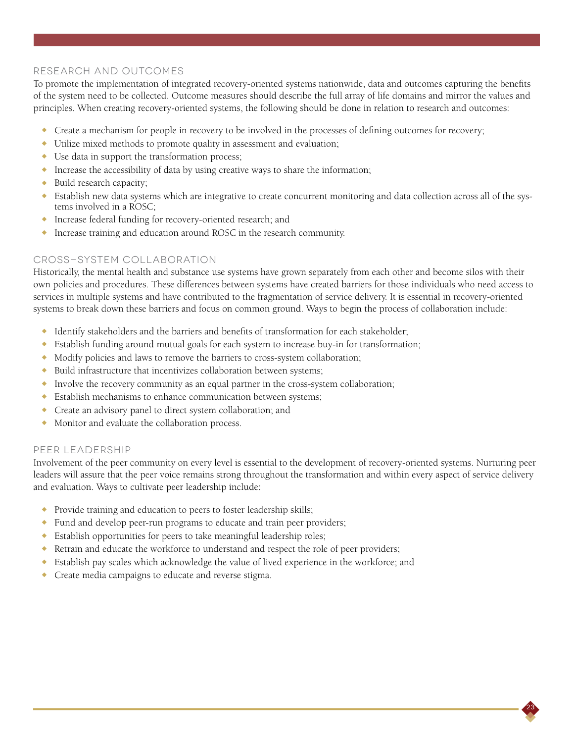### Research and Outcomes

To promote the implementation of integrated recovery-oriented systems nationwide, data and outcomes capturing the benefits of the system need to be collected. Outcome measures should describe the full array of life domains and mirror the values and principles. When creating recovery-oriented systems, the following should be done in relation to research and outcomes:

- $\bullet$  Create a mechanism for people in recovery to be involved in the processes of defining outcomes for recovery;
- $\bullet$  Utilize mixed methods to promote quality in assessment and evaluation;
- $\bullet$  Use data in support the transformation process;
- $\bullet$  Increase the accessibility of data by using creative ways to share the information;
- $\bullet$  Build research capacity;
- $\bullet$  Establish new data systems which are integrative to create concurrent monitoring and data collection across all of the systems involved in a ROSC;
- ◆ Increase federal funding for recovery-oriented research; and
- <sup>X</sup> Increase training and education around ROSC in the research community.

### Cross-system Collaboration

Historically, the mental health and substance use systems have grown separately from each other and become silos with their own policies and procedures. These differences between systems have created barriers for those individuals who need access to services in multiple systems and have contributed to the fragmentation of service delivery. It is essential in recovery-oriented systems to break down these barriers and focus on common ground. Ways to begin the process of collaboration include:

- $\bullet$  Identify stakeholders and the barriers and benefits of transformation for each stakeholder;
- $\bullet$  Establish funding around mutual goals for each system to increase buy-in for transformation;
- Modify policies and laws to remove the barriers to cross-system collaboration;
- <sup>X</sup> Build infrastructure that incentivizes collaboration between systems;
- $\bullet$  Involve the recovery community as an equal partner in the cross-system collaboration;
- <sup>X</sup> Establish mechanisms to enhance communication between systems;
- Create an advisory panel to direct system collaboration; and
- Monitor and evaluate the collaboration process.

#### Peer Leadership

Involvement of the peer community on every level is essential to the development of recovery-oriented systems. Nurturing peer leaders will assure that the peer voice remains strong throughout the transformation and within every aspect of service delivery and evaluation. Ways to cultivate peer leadership include:

- Provide training and education to peers to foster leadership skills;
- Fund and develop peer-run programs to educate and train peer providers;
- <sup>X</sup> Establish opportunities for peers to take meaningful leadership roles;
- $\bullet$  Retrain and educate the workforce to understand and respect the role of peer providers;
- $\bullet$  Establish pay scales which acknowledge the value of lived experience in the workforce; and
- Create media campaigns to educate and reverse stigma.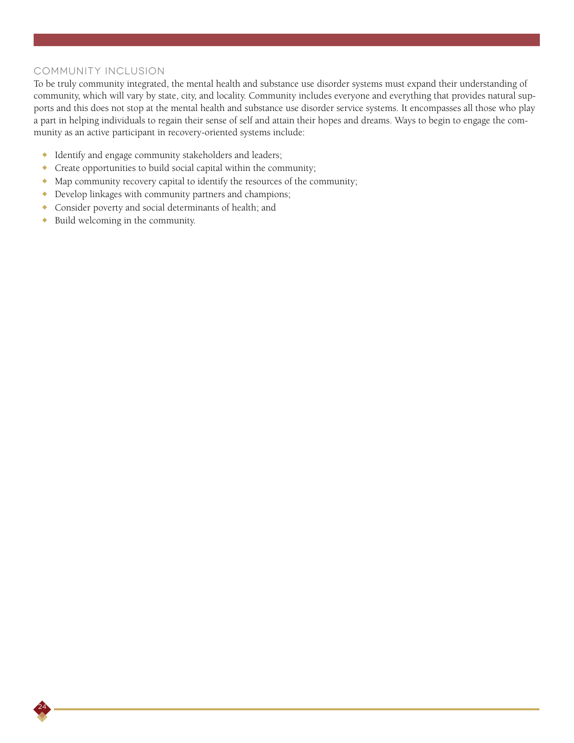#### Community Inclusion

To be truly community integrated, the mental health and substance use disorder systems must expand their understanding of community, which will vary by state, city, and locality. Community includes everyone and everything that provides natural supports and this does not stop at the mental health and substance use disorder service systems. It encompasses all those who play a part in helping individuals to regain their sense of self and attain their hopes and dreams. Ways to begin to engage the community as an active participant in recovery-oriented systems include:

- $\bullet$  Identify and engage community stakeholders and leaders;
- $\triangle$  Create opportunities to build social capital within the community;
- $\bullet$  Map community recovery capital to identify the resources of the community;
- Develop linkages with community partners and champions;
- <sup>X</sup> Consider poverty and social determinants of health; and
- <sup>X</sup> Build welcoming in the community.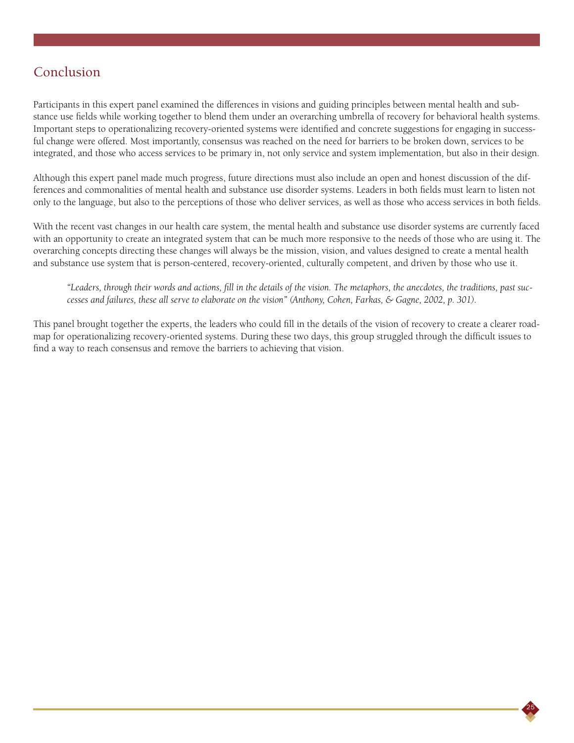## Conclusion

Participants in this expert panel examined the differences in visions and guiding principles between mental health and substance use fields while working together to blend them under an overarching umbrella of recovery for behavioral health systems. Important steps to operationalizing recovery-oriented systems were identified and concrete suggestions for engaging in successful change were offered. Most importantly, consensus was reached on the need for barriers to be broken down, services to be integrated, and those who access services to be primary in, not only service and system implementation, but also in their design.

Although this expert panel made much progress, future directions must also include an open and honest discussion of the differences and commonalities of mental health and substance use disorder systems. Leaders in both fields must learn to listen not only to the language, but also to the perceptions of those who deliver services, as well as those who access services in both fields.

With the recent vast changes in our health care system, the mental health and substance use disorder systems are currently faced with an opportunity to create an integrated system that can be much more responsive to the needs of those who are using it. The overarching concepts directing these changes will always be the mission, vision, and values designed to create a mental health and substance use system that is person-centered, recovery-oriented, culturally competent, and driven by those who use it.

*"Leaders, through their words and actions, fill in the details of the vision. The metaphors, the anecdotes, the traditions, past successes and failures, these all serve to elaborate on the vision" (Anthony, Cohen, Farkas, & Gagne, 2002, p. 301).*

25

This panel brought together the experts, the leaders who could fill in the details of the vision of recovery to create a clearer roadmap for operationalizing recovery-oriented systems. During these two days, this group struggled through the difficult issues to find a way to reach consensus and remove the barriers to achieving that vision.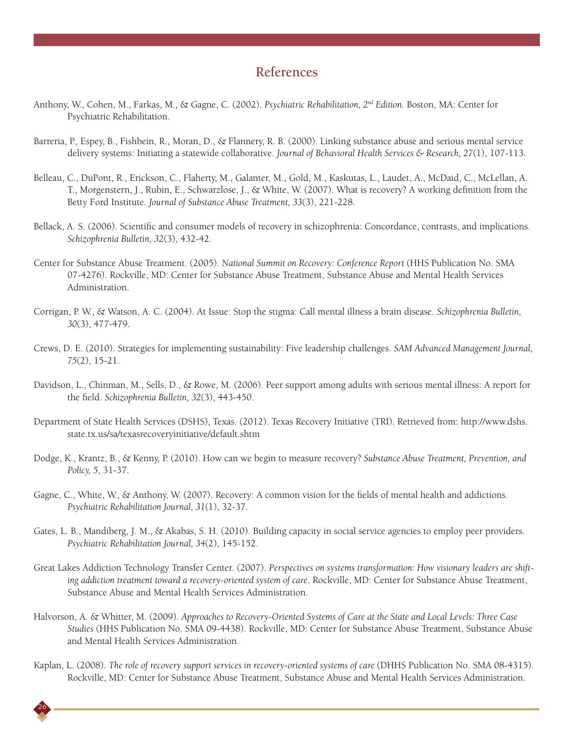## References

- Anthony, W., Cohen, M., Farkas, M., & Gagne, C. (2002). *Psychiatric Rehabilitation, 2nd Edition.* Boston, MA: Center for Psychiatric Rehabilitation.
- Barreria, P., Espey, B., Fishbein, R., Moran, D., & Flannery, R. B. (2000). Linking substance abuse and serious mental service delivery systems: Initiating a statewide collaborative. *Journal of Behavioral Health Services & Research, 27*(1), 107-113.
- Belleau, C., DuPont, R., Erickson, C., Flaherty, M., Galanter, M., Gold, M., Kaskutas, L., Laudet, A., McDaid, C., McLellan, A. T., Morgenstern, J., Rubin, E., Schwarzlose, J., & White, W. (2007). What is recovery? A working definition from the Betty Ford Institute. *Journal of Substance Abuse Treatment, 33*(3), 221-228.
- Bellack, A. S. (2006). Scientific and consumer models of recovery in schizophrenia: Concordance, contrasts, and implications. *Schizophrenia Bulletin, 32*(3), 432-42.
- Center for Substance Abuse Treatment. (2005). *National Summit on Recovery: Conference Report* (HHS Publication No. SMA 07-4276). Rockville, MD: Center for Substance Abuse Treatment, Substance Abuse and Mental Health Services Administration.
- Corrigan, P. W., & Watson, A. C. (2004). At Issue: Stop the stigma: Call mental illness a brain disease. *Schizophrenia Bulletin, 30*(3), 477-479.
- Crews, D. E. (2010). Strategies for implementing sustainability: Five leadership challenges. *SAM Advanced Management Journal, 75*(2), 15-21.
- Davidson, L., Chinman, M., Sells, D., & Rowe, M. (2006). Peer support among adults with serious mental illness: A report for the field. *Schizophrenia Bulletin, 32*(3), 443-450.
- Department of State Health Services (DSHS), Texas. (2012). Texas Recovery Initiative (TRI). Retrieved from: http://www.dshs. state.tx.us/sa/texasrecoveryinitiative/default.shtm
- Dodge, K., Krantz, B., & Kenny, P. (2010). How can we begin to measure recovery? *Substance Abuse Treatment, Prevention, and Policy, 5*, 31-37.
- Gagne, C., White, W., & Anthony, W. (2007). Recovery: A common vision for the fields of mental health and addictions. *Psychiatric Rehabilitation Journal, 31*(1), 32-37.
- Gates, L. B., Mandiberg, J. M., & Akabas, S. H. (2010). Building capacity in social service agencies to employ peer providers. *Psychiatric Rehabilitation Journal, 34*(2), 145-152.
- Great Lakes Addiction Technology Transfer Center. (2007). *Perspectives on systems transformation: How visionary leaders are shifting addiction treatment toward a recovery-oriented system of care*. Rockville, MD: Center for Substance Abuse Treatment, Substance Abuse and Mental Health Services Administration.
- Halvorson, A. & Whitter, M. (2009). *Approaches to Recovery-Oriented Systems of Care at the State and Local Levels: Three Case Studies* (HHS Publication No. SMA 09-4438). Rockville, MD: Center for Substance Abuse Treatment, Substance Abuse and Mental Health Services Administration.
- Kaplan, L. (2008). *The role of recovery support services in recovery-oriented systems of care* (DHHS Publication No. SMA 08-4315). Rockville, MD: Center for Substance Abuse Treatment, Substance Abuse and Mental Health Services Administration.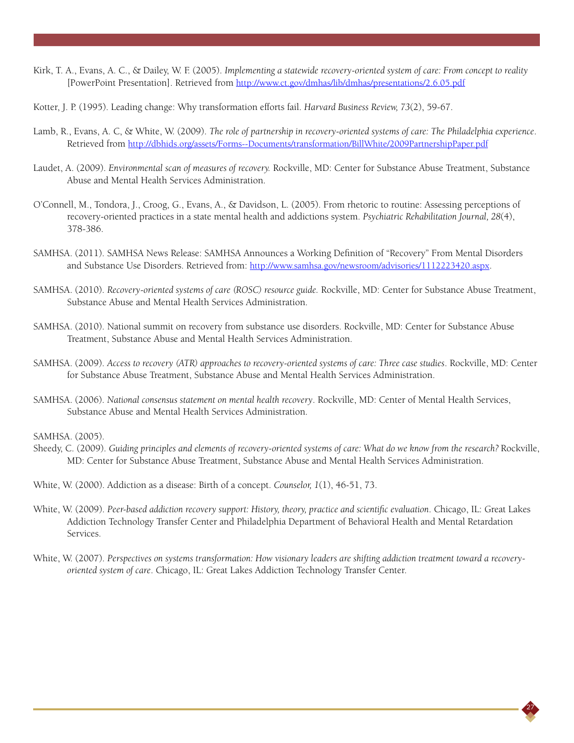- Kirk, T. A., Evans, A. C., & Dailey, W. F. (2005). *Implementing a statewide recovery-oriented system of care: From concept to reality* [PowerPoint Presentation]. Retrieved from http://www.ct.gov/dmhas/lib/dmhas/presentations/2.6.05.pdf
- Kotter, J. P. (1995). Leading change: Why transformation efforts fail. *Harvard Business Review, 73*(2), 59-67.
- Lamb, R., Evans, A. C, & White, W. (2009). *The role of partnership in recovery-oriented systems of care: The Philadelphia experience*. Retrieved from http://dbhids.org/assets/Forms--Documents/transformation/BillWhite/2009PartnershipPaper.pdf
- Laudet, A. (2009). *Environmental scan of measures of recovery.* Rockville, MD: Center for Substance Abuse Treatment, Substance Abuse and Mental Health Services Administration.
- O'Connell, M., Tondora, J., Croog, G., Evans, A., & Davidson, L. (2005). From rhetoric to routine: Assessing perceptions of recovery-oriented practices in a state mental health and addictions system. *Psychiatric Rehabilitation Journal, 28*(4), 378-386.
- SAMHSA. (2011). SAMHSA News Release: SAMHSA Announces a Working Definition of "Recovery" From Mental Disorders and Substance Use Disorders. Retrieved from: http://www.samhsa.gov/newsroom/advisories/1112223420.aspx.
- SAMHSA. (2010). *Recovery-oriented systems of care (ROSC) resource guide.* Rockville, MD: Center for Substance Abuse Treatment, Substance Abuse and Mental Health Services Administration.
- SAMHSA. (2010). National summit on recovery from substance use disorders. Rockville, MD: Center for Substance Abuse Treatment, Substance Abuse and Mental Health Services Administration.
- SAMHSA. (2009). *Access to recovery (ATR) approaches to recovery-oriented systems of care: Three case studies*. Rockville, MD: Center for Substance Abuse Treatment, Substance Abuse and Mental Health Services Administration.
- SAMHSA. (2006). *National consensus statement on mental health recovery*. Rockville, MD: Center of Mental Health Services, Substance Abuse and Mental Health Services Administration.

SAMHSA. (2005).

Sheedy, C. (2009). *Guiding principles and elements of recovery-oriented systems of care: What do we know from the research? Rockville,* MD: Center for Substance Abuse Treatment, Substance Abuse and Mental Health Services Administration.

White, W. (2000). Addiction as a disease: Birth of a concept. *Counselor, 1*(1), 46-51, 73.

- White, W. (2009). *Peer-based addiction recovery support: History, theory, practice and scientific evaluation*. Chicago, IL: Great Lakes Addiction Technology Transfer Center and Philadelphia Department of Behavioral Health and Mental Retardation Services.
- White, W. (2007). *Perspectives on systems transformation: How visionary leaders are shifting addiction treatment toward a recoveryoriented system of care*. Chicago, IL: Great Lakes Addiction Technology Transfer Center.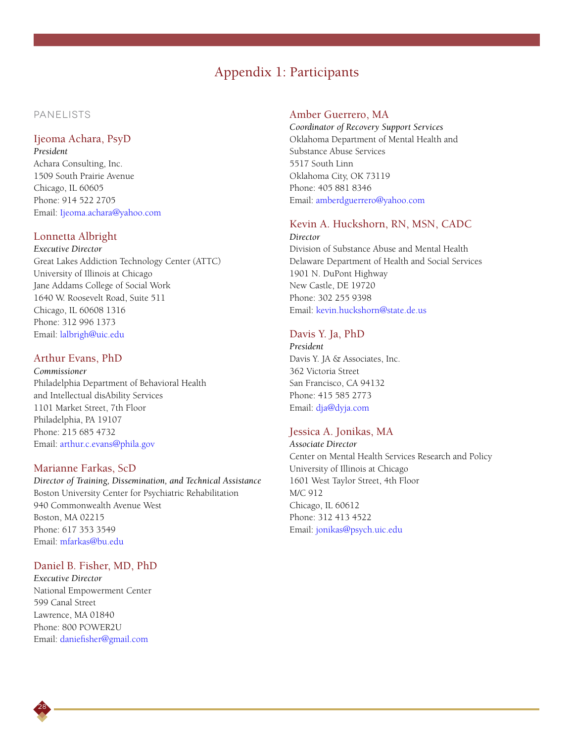## Appendix 1: Participants

### PANELISTS

#### Ijeoma Achara, PsyD

*President* Achara Consulting, Inc. 1509 South Prairie Avenue Chicago, IL 60605 Phone: 914 522 2705 Email: Ijeoma.achara@yahoo.com

#### Lonnetta Albright

*Executive Director* Great Lakes Addiction Technology Center (ATTC) University of Illinois at Chicago Jane Addams College of Social Work 1640 W. Roosevelt Road, Suite 511 Chicago, IL 60608 1316 Phone: 312 996 1373 Email: lalbrigh@uic.edu

#### Arthur Evans, PhD

*Commissioner* Philadelphia Department of Behavioral Health and Intellectual disAbility Services 1101 Market Street, 7th Floor Philadelphia, PA 19107 Phone: 215 685 4732 Email: arthur.c.evans@phila.gov

#### Marianne Farkas, ScD

*Director of Training, Dissemination, and Technical Assistance* Boston University Center for Psychiatric Rehabilitation 940 Commonwealth Avenue West Boston, MA 02215 Phone: 617 353 3549 Email: mfarkas@bu.edu

#### Daniel B. Fisher, MD, PhD

*Executive Director* National Empowerment Center 599 Canal Street Lawrence, MA 01840 Phone: 800 POWER2U Email: daniefisher@gmail.com

#### Amber Guerrero, MA

*Coordinator of Recovery Support Services* Oklahoma Department of Mental Health and Substance Abuse Services 5517 South Linn Oklahoma City, OK 73119 Phone: 405 881 8346 Email: amberdguerrero@yahoo.com

## Kevin A. Huckshorn, RN, MSN, CADC

*Director* Division of Substance Abuse and Mental Health Delaware Department of Health and Social Services 1901 N. DuPont Highway New Castle, DE 19720 Phone: 302 255 9398 Email: kevin.huckshorn@state.de.us

#### Davis Y. Ja, PhD

*President* Davis Y. JA & Associates, Inc. 362 Victoria Street San Francisco, CA 94132 Phone: 415 585 2773 Email: dja@dyja.com

#### Jessica A. Jonikas, MA

*Associate Director* Center on Mental Health Services Research and Policy University of Illinois at Chicago 1601 West Taylor Street, 4th Floor M/C 912 Chicago, IL 60612 Phone: 312 413 4522 Email: jonikas@psych.uic.edu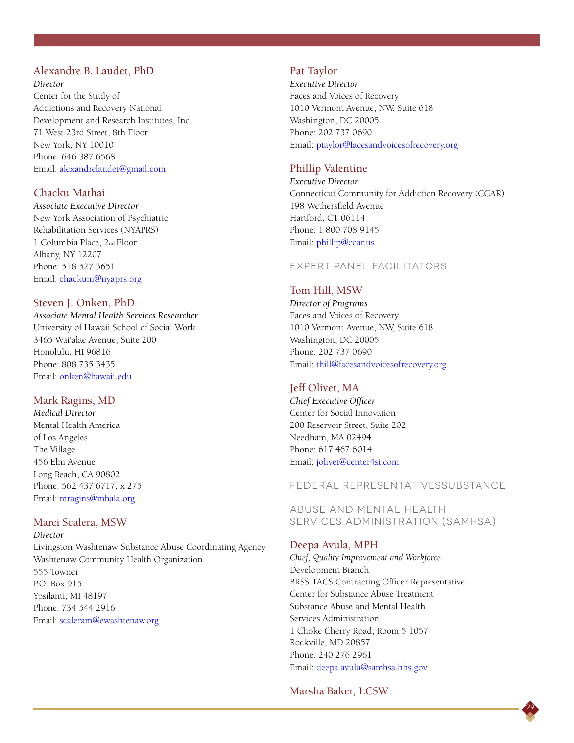#### Alexandre B. Laudet, PhD

#### *Director*

Center for the Study of Addictions and Recovery National Development and Research Institutes, Inc. 71 West 23rd Street, 8th Floor New York, NY 10010 Phone: 646 387 6568 Email: alexandrelaudet@gmail.com

### Chacku Mathai

*Associate Executive Director* New York Association of Psychiatric Rehabilitation Services (NYAPRS) 1 Columbia Place, 2nd Floor Albany, NY 12207 Phone: 518 527 3651 Email: chackum@nyaprs.org

#### Steven J. Onken, PhD

*Associate Mental Health Services Researcher* University of Hawaii School of Social Work 3465 Wai'alae Avenue, Suite 200 Honolulu, HI 96816 Phone: 808 735 3435 Email: onken@hawaii.edu

#### Mark Ragins, MD

*Medical Director* Mental Health America of Los Angeles The Village 456 Elm Avenue Long Beach, CA 90802 Phone: 562 437 6717, x 275 Email: mragins@mhala.org

#### Marci Scalera, MSW

*Director* Livingston Washtenaw Substance Abuse Coordinating Agency Washtenaw Community Health Organization 555 Towner P.O. Box 915 Ypsilanti, MI 48197 Phone: 734 544 2916 Email: scaleram@ewashtenaw.org

#### Pat Taylor

*Executive Director* Faces and Voices of Recovery 1010 Vermont Avenue, NW, Suite 618 Washington, DC 20005 Phone: 202 737 0690 Email: ptaylor@facesandvoicesofrecovery.org

#### Phillip Valentine

*Executive Director* Connecticut Community for Addiction Recovery (CCAR) 198 Wethersfield Avenue Hartford, CT 06114 Phone: 1 800 708 9145 Email: phillip@ccar.us

#### EXPERT PANEL FACILITATORS

#### Tom Hill, MSW

*Director of Programs* Faces and Voices of Recovery 1010 Vermont Avenue, NW, Suite 618 Washington, DC 20005 Phone: 202 737 0690 Email: thill@facesandvoicesofrecovery.org

#### Jeff Olivet, MA

*Chief Executive Officer* Center for Social Innovation 200 Reservoir Street, Suite 202 Needham, MA 02494 Phone: 617 467 6014 Email: jolivet@center4si.com

#### FEDERAL REPRESENTATIVESSubstance

Abuse and Mental Health Services Administration (SAMHSA)

#### Deepa Avula, MPH

*Chief, Quality Improvement and Workforce* Development Branch BRSS TACS Contracting Officer Representative Center for Substance Abuse Treatment Substance Abuse and Mental Health Services Administration 1 Choke Cherry Road, Room 5 1057 Rockville, MD 20857 Phone: 240 276 2961 Email: deepa.avula@samhsa.hhs.gov

#### Marsha Baker, LCSW

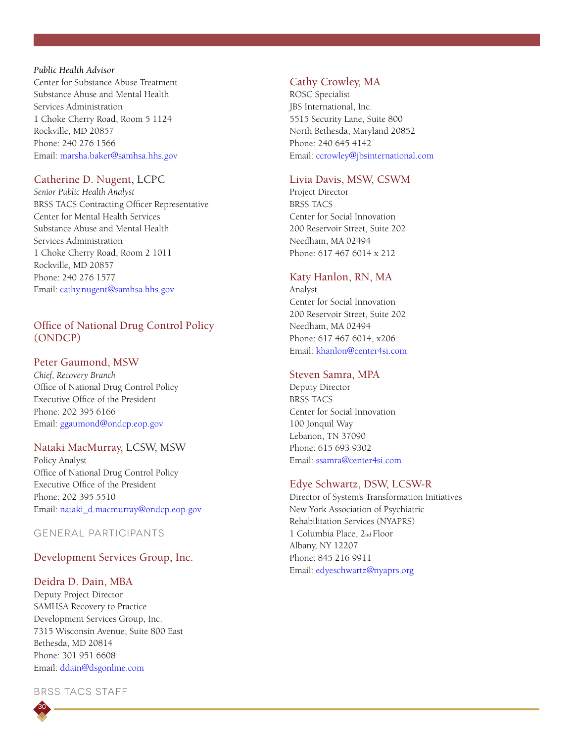### *Public Health Advisor* Center for Substance Abuse Treatment Substance Abuse and Mental Health Services Administration 1 Choke Cherry Road, Room 5 1124 Rockville, MD 20857 Phone: 240 276 1566 Email: marsha.baker@samhsa.hhs.gov

## Catherine D. Nugent, LCPC

*Senior Public Health Analyst* BRSS TACS Contracting Officer Representative Center for Mental Health Services Substance Abuse and Mental Health Services Administration 1 Choke Cherry Road, Room 2 1011 Rockville, MD 20857 Phone: 240 276 1577 Email: cathy.nugent@samhsa.hhs.gov

## Office of National Drug Control Policy (ONDCP)

### Peter Gaumond, MSW

*Chief, Recovery Branch* Office of National Drug Control Policy Executive Office of the President Phone: 202 395 6166 Email: ggaumond@ondcp.eop.gov

### Nataki MacMurray, LCSW, MSW

Policy Analyst Office of National Drug Control Policy Executive Office of the President Phone: 202 395 5510 Email: nataki\_d.macmurray@ondcp.eop.gov

### GENERAL PARTICIPANTS

## Development Services Group, Inc.

#### Deidra D. Dain, MBA

Deputy Project Director SAMHSA Recovery to Practice Development Services Group, Inc. 7315 Wisconsin Avenue, Suite 800 East Bethesda, MD 20814 Phone: 301 951 6608 Email: ddain@dsgonline.com

BRSS TACS STAFF

## Cathy Crowley, MA

ROSC Specialist JBS International, Inc. 5515 Security Lane, Suite 800 North Bethesda, Maryland 20852 Phone: 240 645 4142 Email: ccrowley@jbsinternational.com

### Livia Davis, MSW, CSWM

Project Director BRSS TACS Center for Social Innovation 200 Reservoir Street, Suite 202 Needham, MA 02494 Phone: 617 467 6014 x 212

## Katy Hanlon, RN, MA

Analyst Center for Social Innovation 200 Reservoir Street, Suite 202 Needham, MA 02494 Phone: 617 467 6014, x206 Email: khanlon@center4si.com

### Steven Samra, MPA

Deputy Director BRSS TACS Center for Social Innovation 100 Jonquil Way Lebanon, TN 37090 Phone: 615 693 9302 Email: ssamra@center4si.com

### Edye Schwartz, DSW, LCSW-R

Director of System's Transformation Initiatives New York Association of Psychiatric Rehabilitation Services (NYAPRS) 1 Columbia Place, 2nd Floor Albany, NY 12207 Phone: 845 216 9911 Email: edyeschwartz@nyaprs.org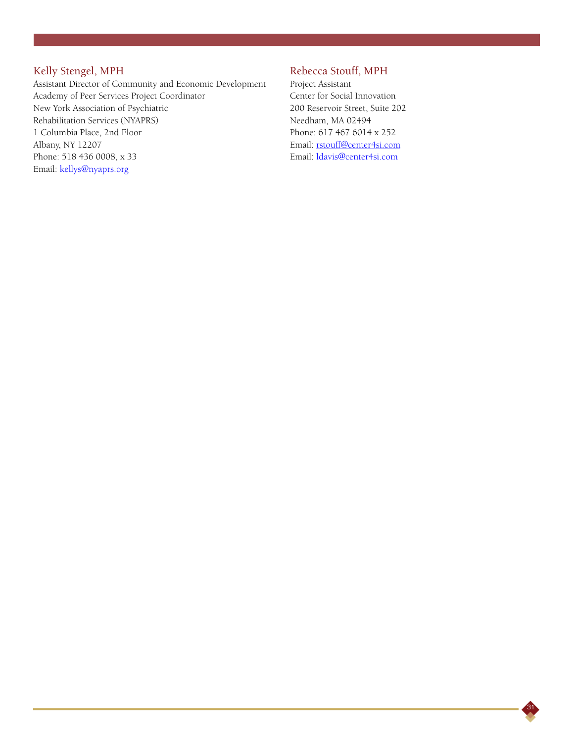## Kelly Stengel, MPH

Assistant Director of Community and Economic Development Academy of Peer Services Project Coordinator New York Association of Psychiatric Rehabilitation Services (NYAPRS) 1 Columbia Place, 2nd Floor Albany, NY 12207 Phone: 518 436 0008, x 33 Email: kellys@nyaprs.org

## Rebecca Stouff, MPH

Project Assistant Center for Social Innovation 200 Reservoir Street, Suite 202 Needham, MA 02494 Phone: 617 467 6014 x 252 Email: rstouff@center4si.com Email: ldavis@center4si.com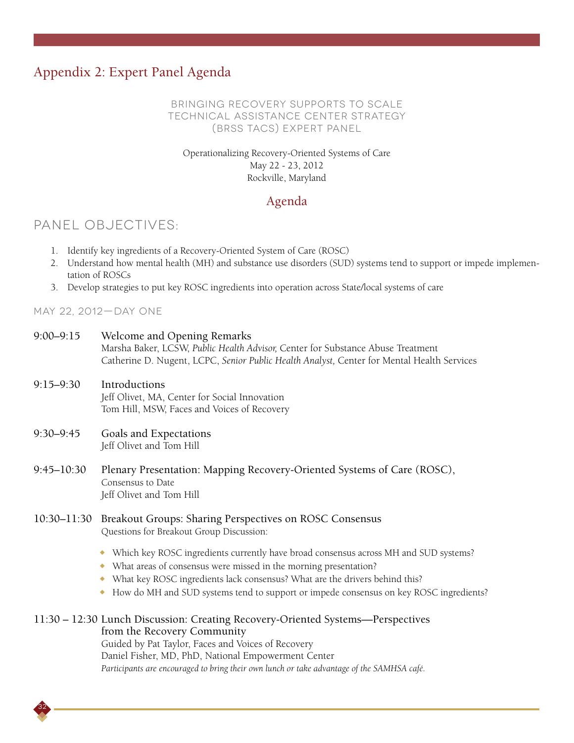## Appendix 2: Expert Panel Agenda

### Bringing Recovery Supports to Scale Technical Assistance Center Strategy (BRSS TACS) Expert Panel

## Operationalizing Recovery-Oriented Systems of Care May 22 - 23, 2012 Rockville, Maryland

## Agenda

## PANEL OBJECTIVES:

- 1. Identify key ingredients of a Recovery-Oriented System of Care (ROSC)
- 2. Understand how mental health (MH) and substance use disorders (SUD) systems tend to support or impede implementation of ROSCs
- 3. Develop strategies to put key ROSC ingredients into operation across State/local systems of care

May 22, 2012—Day One

- 9:00–9:15 Welcome and Opening Remarks Marsha Baker, LCSW, *Public Health Advisor,* Center for Substance Abuse Treatment Catherine D. Nugent, LCPC, *Senior Public Health Analyst,* Center for Mental Health Services
- 9:15–9:30 Introductions Jeff Olivet, MA, Center for Social Innovation Tom Hill, MSW, Faces and Voices of Recovery
- 9:30–9:45 Goals and Expectations Jeff Olivet and Tom Hill

32

- 9:45–10:30 Plenary Presentation: Mapping Recovery-Oriented Systems of Care (ROSC), Consensus to Date Jeff Olivet and Tom Hill
- 10:30–11:30 Breakout Groups: Sharing Perspectives on ROSC Consensus Questions for Breakout Group Discussion:
	- <sup>X</sup> Which key ROSC ingredients currently have broad consensus across MH and SUD systems?
	- What areas of consensus were missed in the morning presentation?
	- What key ROSC ingredients lack consensus? What are the drivers behind this?
	- $*$  How do MH and SUD systems tend to support or impede consensus on key ROSC ingredients?

## 11:30 – 12:30 Lunch Discussion: Creating Recovery-Oriented Systems—Perspectives from the Recovery Community

Guided by Pat Taylor, Faces and Voices of Recovery Daniel Fisher, MD, PhD, National Empowerment Center *Participants are encouraged to bring their own lunch or take advantage of the SAMHSA café.*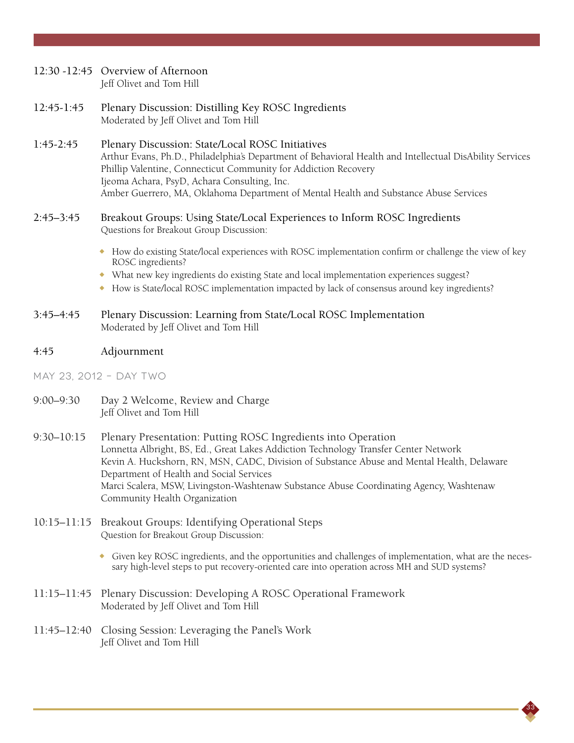## 12:30 -12:45 Overview of Afternoon

Jeff Olivet and Tom Hill

12:45-1:45 Plenary Discussion: Distilling Key ROSC Ingredients Moderated by Jeff Olivet and Tom Hill

### 1:45-2:45 Plenary Discussion: State/Local ROSC Initiatives Arthur Evans, Ph.D., Philadelphia's Department of Behavioral Health and Intellectual DisAbility Services Phillip Valentine, Connecticut Community for Addiction Recovery Ijeoma Achara, PsyD, Achara Consulting, Inc. Amber Guerrero, MA, Oklahoma Department of Mental Health and Substance Abuse Services

### 2:45–3:45 Breakout Groups: Using State/Local Experiences to Inform ROSC Ingredients Questions for Breakout Group Discussion:

- <sup>X</sup> How do existing State/local experiences with ROSC implementation confirm or challenge the view of key ROSC ingredients?
- ◆ What new key ingredients do existing State and local implementation experiences suggest?
- <sup>X</sup> How is State/local ROSC implementation impacted by lack of consensus around key ingredients?
- 3:45–4:45 Plenary Discussion: Learning from State/Local ROSC Implementation Moderated by Jeff Olivet and Tom Hill

### 4:45 Adjournment

May 23, 2012 – Day Two

- 9:00–9:30 Day 2 Welcome, Review and Charge Jeff Olivet and Tom Hill
- 9:30–10:15 Plenary Presentation: Putting ROSC Ingredients into Operation Lonnetta Albright, BS, Ed., Great Lakes Addiction Technology Transfer Center Network Kevin A. Huckshorn, RN, MSN, CADC, Division of Substance Abuse and Mental Health, Delaware Department of Health and Social Services Marci Scalera, MSW, Livingston-Washtenaw Substance Abuse Coordinating Agency, Washtenaw Community Health Organization
- 10:15–11:15 Breakout Groups: Identifying Operational Steps Question for Breakout Group Discussion:
	- <sup>X</sup> Given key ROSC ingredients, and the opportunities and challenges of implementation, what are the necessary high-level steps to put recovery-oriented care into operation across MH and SUD systems?

- 11:15–11:45 Plenary Discussion: Developing A ROSC Operational Framework Moderated by Jeff Olivet and Tom Hill
- 11:45–12:40 Closing Session: Leveraging the Panel's Work Jeff Olivet and Tom Hill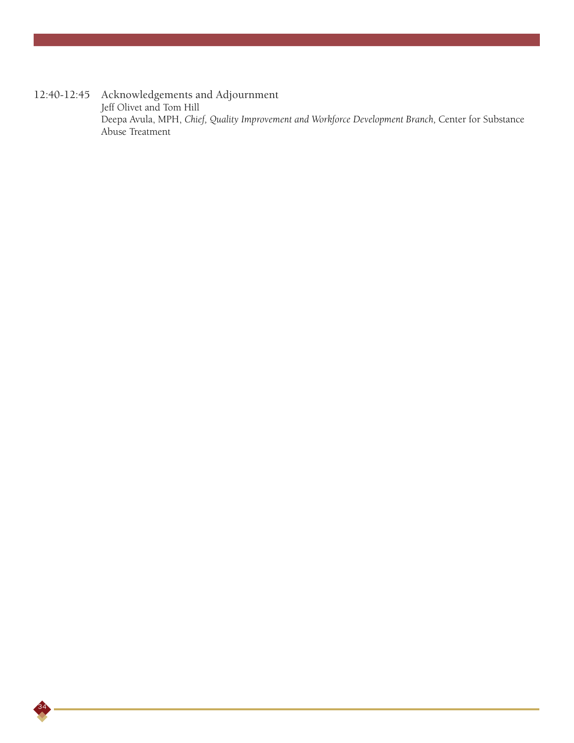12:40-12:45 Acknowledgements and Adjournment Jeff Olivet and Tom Hill Deepa Avula, MPH, *Chief, Quality Improvement and Workforce Development Branch,* Center for Substance Abuse Treatment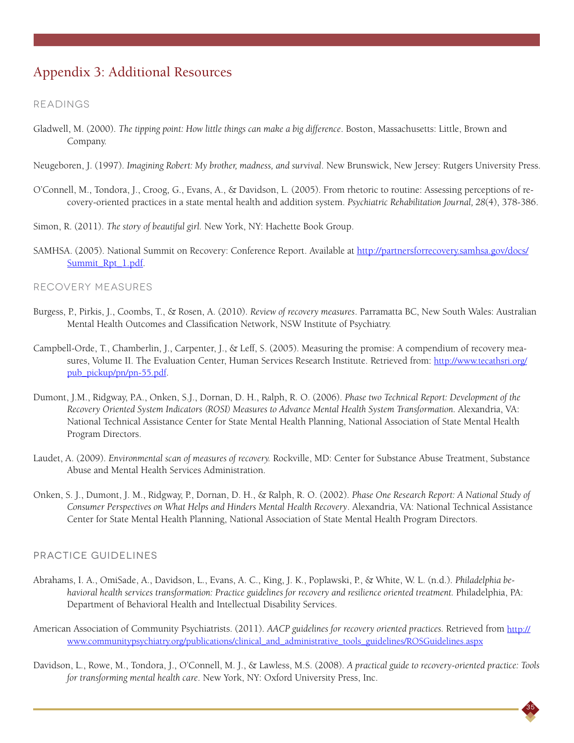## Appendix 3: Additional Resources

#### Readings

- Gladwell, M. (2000). *The tipping point: How little things can make a big difference*. Boston, Massachusetts: Little, Brown and Company.
- Neugeboren, J. (1997). *Imagining Robert: My brother, madness, and survival*. New Brunswick, New Jersey: Rutgers University Press.
- O'Connell, M., Tondora, J., Croog, G., Evans, A., & Davidson, L. (2005). From rhetoric to routine: Assessing perceptions of recovery-oriented practices in a state mental health and addition system. *Psychiatric Rehabilitation Journal, 28*(4), 378-386.
- Simon, R. (2011). *The story of beautiful girl.* New York, NY: Hachette Book Group.
- SAMHSA. (2005). National Summit on Recovery: Conference Report. Available at http://partnersforrecovery.samhsa.gov/docs/ Summit\_Rpt\_1.pdf.

#### Recovery measures

- Burgess, P., Pirkis, J., Coombs, T., & Rosen, A. (2010). *Review of recovery measures*. Parramatta BC, New South Wales: Australian Mental Health Outcomes and Classification Network, NSW Institute of Psychiatry.
- Campbell-Orde, T., Chamberlin, J., Carpenter, J., & Leff, S. (2005). Measuring the promise: A compendium of recovery measures, Volume II. The Evaluation Center, Human Services Research Institute. Retrieved from: http://www.tecathsri.org/ pub\_pickup/pn/pn-55.pdf.
- Dumont, J.M., Ridgway, P.A., Onken, S.J., Dornan, D. H., Ralph, R. O. (2006). *Phase two Technical Report: Development of the Recovery Oriented System Indicators (ROSI) Measures to Advance Mental Health System Transformation.* Alexandria, VA: National Technical Assistance Center for State Mental Health Planning, National Association of State Mental Health Program Directors.
- Laudet, A. (2009). *Environmental scan of measures of recovery.* Rockville, MD: Center for Substance Abuse Treatment, Substance Abuse and Mental Health Services Administration.
- Onken, S. J., Dumont, J. M., Ridgway, P., Dornan, D. H., & Ralph, R. O. (2002). *Phase One Research Report: A National Study of Consumer Perspectives on What Helps and Hinders Mental Health Recovery*. Alexandria, VA: National Technical Assistance Center for State Mental Health Planning, National Association of State Mental Health Program Directors.

#### Practice Guidelines

- Abrahams, I. A., OmiSade, A., Davidson, L., Evans, A. C., King, J. K., Poplawski, P., & White, W. L. (n.d.). *Philadelphia behavioral health services transformation: Practice guidelines for recovery and resilience oriented treatment.* Philadelphia, PA: Department of Behavioral Health and Intellectual Disability Services.
- American Association of Community Psychiatrists. (2011). *AACP guidelines for recovery oriented practices.* Retrieved from http:// www.communitypsychiatry.org/publications/clinical\_and\_administrative\_tools\_guidelines/ROSGuidelines.aspx
- Davidson, L., Rowe, M., Tondora, J., O'Connell, M. J., & Lawless, M.S. (2008). *A practical guide to recovery-oriented practice: Tools for transforming mental health care*. New York, NY: Oxford University Press, Inc.